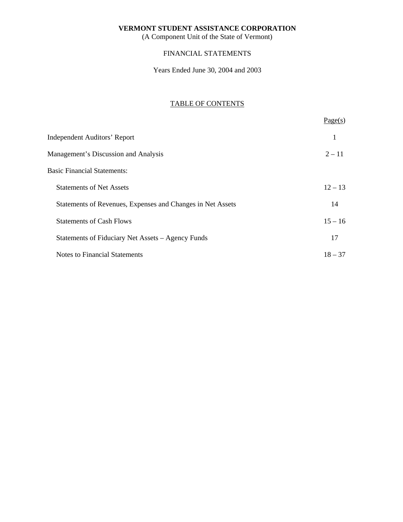(A Component Unit of the State of Vermont)

## FINANCIAL STATEMENTS

Years Ended June 30, 2004 and 2003

## TABLE OF CONTENTS

|                                                            | Page(s)   |
|------------------------------------------------------------|-----------|
| <b>Independent Auditors' Report</b>                        | 1         |
| Management's Discussion and Analysis                       | $2 - 11$  |
| <b>Basic Financial Statements:</b>                         |           |
| <b>Statements of Net Assets</b>                            | $12 - 13$ |
| Statements of Revenues, Expenses and Changes in Net Assets | 14        |
| <b>Statements of Cash Flows</b>                            | $15 - 16$ |
| Statements of Fiduciary Net Assets – Agency Funds          | 17        |
| <b>Notes to Financial Statements</b>                       | $18 - 37$ |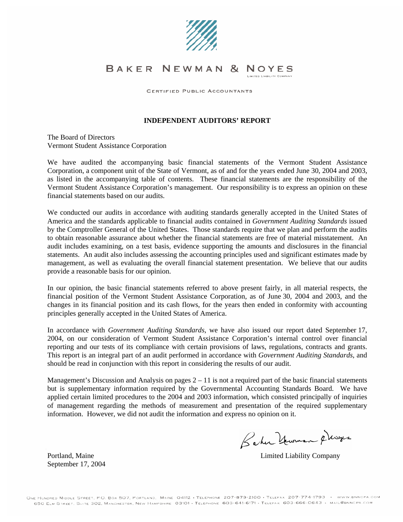

#### BAKER NEWMAN & NOYES LIMITED LIABILITY COMPANY

CERTIFIED PUBLIC ACCOUNTANTS

#### <span id="page-1-0"></span>**INDEPENDENT AUDITORS' REPORT**

The Board of Directors Vermont Student Assistance Corporation

We have audited the accompanying basic financial statements of the Vermont Student Assistance Corporation, a component unit of the State of Vermont, as of and for the years ended June 30, 2004 and 2003, as listed in the accompanying table of contents. These financial statements are the responsibility of the Vermont Student Assistance Corporation's management. Our responsibility is to express an opinion on these financial statements based on our audits.

We conducted our audits in accordance with auditing standards generally accepted in the United States of America and the standards applicable to financial audits contained in *Government Auditing Standards* issued by the Comptroller General of the United States. Those standards require that we plan and perform the audits to obtain reasonable assurance about whether the financial statements are free of material misstatement. An audit includes examining, on a test basis, evidence supporting the amounts and disclosures in the financial statements. An audit also includes assessing the accounting principles used and significant estimates made by management, as well as evaluating the overall financial statement presentation. We believe that our audits provide a reasonable basis for our opinion.

In our opinion, the basic financial statements referred to above present fairly, in all material respects, the financial position of the Vermont Student Assistance Corporation, as of June 30, 2004 and 2003, and the changes in its financial position and its cash flows, for the years then ended in conformity with accounting principles generally accepted in the United States of America.

In accordance with *Government Auditing Standards*, we have also issued our report dated September 17, 2004, on our consideration of Vermont Student Assistance Corporation's internal control over financial reporting and our tests of its compliance with certain provisions of laws, regulations, contracts and grants. This report is an integral part of an audit performed in accordance with *Government Auditing Standards*, and should be read in conjunction with this report in considering the results of our audit.

Management's Discussion and Analysis on pages  $2 - 11$  $2 - 11$  is not a required part of the basic financial statements but is supplementary information required by the Governmental Accounting Standards Board. We have applied certain limited procedures to the 2004 and 2003 information, which consisted principally of inquiries of management regarding the methods of measurement and presentation of the required supplementary information. However, we did not audit the information and express no opinion on it.

Baker Human Plesges

Portland, Maine **Limited Liability Company** 

September 17, 2004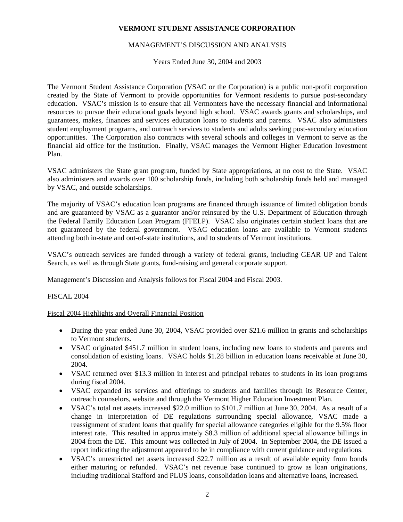## <span id="page-2-0"></span>MANAGEMENT'S DISCUSSION AND ANALYSIS

Years Ended June 30, 2004 and 2003

The Vermont Student Assistance Corporation (VSAC or the Corporation) is a public non-profit corporation created by the State of Vermont to provide opportunities for Vermont residents to pursue post-secondary education. VSAC's mission is to ensure that all Vermonters have the necessary financial and informational resources to pursue their educational goals beyond high school. VSAC awards grants and scholarships, and guarantees, makes, finances and services education loans to students and parents. VSAC also administers student employment programs, and outreach services to students and adults seeking post-secondary education opportunities. The Corporation also contracts with several schools and colleges in Vermont to serve as the financial aid office for the institution. Finally, VSAC manages the Vermont Higher Education Investment Plan.

VSAC administers the State grant program, funded by State appropriations, at no cost to the State. VSAC also administers and awards over 100 scholarship funds, including both scholarship funds held and managed by VSAC, and outside scholarships.

The majority of VSAC's education loan programs are financed through issuance of limited obligation bonds and are guaranteed by VSAC as a guarantor and/or reinsured by the U.S. Department of Education through the Federal Family Education Loan Program (FFELP). VSAC also originates certain student loans that are not guaranteed by the federal government. VSAC education loans are available to Vermont students attending both in-state and out-of-state institutions, and to students of Vermont institutions.

VSAC's outreach services are funded through a variety of federal grants, including GEAR UP and Talent Search, as well as through State grants, fund-raising and general corporate support.

Management's Discussion and Analysis follows for Fiscal 2004 and Fiscal 2003.

## FISCAL 2004

## Fiscal 2004 Highlights and Overall Financial Position

- During the year ended June 30, 2004, VSAC provided over \$21.6 million in grants and scholarships to Vermont students.
- VSAC originated \$451.7 million in student loans, including new loans to students and parents and consolidation of existing loans. VSAC holds \$1.28 billion in education loans receivable at June 30, 2004.
- VSAC returned over \$13.3 million in interest and principal rebates to students in its loan programs during fiscal 2004.
- VSAC expanded its services and offerings to students and families through its Resource Center, outreach counselors, website and through the Vermont Higher Education Investment Plan.
- VSAC's total net assets increased \$22.0 million to \$101.7 million at June 30, 2004. As a result of a change in interpretation of DE regulations surrounding special allowance, VSAC made a reassignment of student loans that qualify for special allowance categories eligible for the 9.5% floor interest rate. This resulted in approximately \$8.3 million of additional special allowance billings in 2004 from the DE. This amount was collected in July of 2004. In September 2004, the DE issued a report indicating the adjustment appeared to be in compliance with current guidance and regulations.
- VSAC's unrestricted net assets increased \$22.7 million as a result of available equity from bonds either maturing or refunded. VSAC's net revenue base continued to grow as loan originations, including traditional Stafford and PLUS loans, consolidation loans and alternative loans, increased.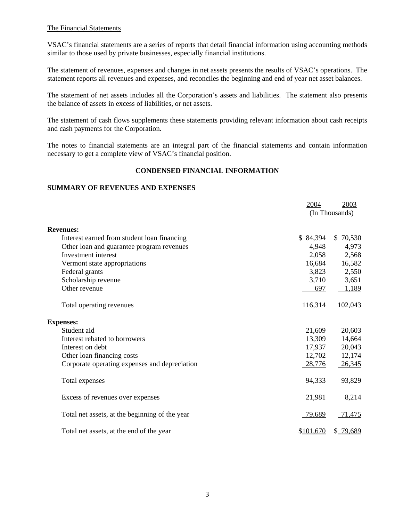## The Financial Statements

VSAC's financial statements are a series of reports that detail financial information using accounting methods similar to those used by private businesses, especially financial institutions.

The statement of revenues, expenses and changes in net assets presents the results of VSAC's operations. The statement reports all revenues and expenses, and reconciles the beginning and end of year net asset balances.

The statement of net assets includes all the Corporation's assets and liabilities. The statement also presents the balance of assets in excess of liabilities, or net assets.

The statement of cash flows supplements these statements providing relevant information about cash receipts and cash payments for the Corporation.

The notes to financial statements are an integral part of the financial statements and contain information necessary to get a complete view of VSAC's financial position.

## **CONDENSED FINANCIAL INFORMATION**

## **SUMMARY OF REVENUES AND EXPENSES**

|                                                | 2004      | 2003<br>(In Thousands) |
|------------------------------------------------|-----------|------------------------|
| <b>Revenues:</b>                               |           |                        |
| Interest earned from student loan financing    | \$84,394  | \$70,530               |
| Other loan and guarantee program revenues      | 4,948     | 4,973                  |
| Investment interest                            | 2,058     | 2,568                  |
| Vermont state appropriations                   | 16,684    | 16,582                 |
| Federal grants                                 | 3,823     | 2,550                  |
| Scholarship revenue                            | 3,710     | 3,651                  |
| Other revenue                                  | 697       | 1,189                  |
| Total operating revenues                       | 116,314   | 102,043                |
| <b>Expenses:</b>                               |           |                        |
| Student aid                                    | 21,609    | 20,603                 |
| Interest rebated to borrowers                  | 13,309    | 14,664                 |
| Interest on debt                               | 17,937    | 20,043                 |
| Other loan financing costs                     | 12,702    | 12,174                 |
| Corporate operating expenses and depreciation  | 28,776    | 26,345                 |
| Total expenses                                 | 94,333    | 93,829                 |
| Excess of revenues over expenses               | 21,981    | 8,214                  |
| Total net assets, at the beginning of the year | 79,689    | 71,475                 |
| Total net assets, at the end of the year       | \$101,670 | \$ 79,689              |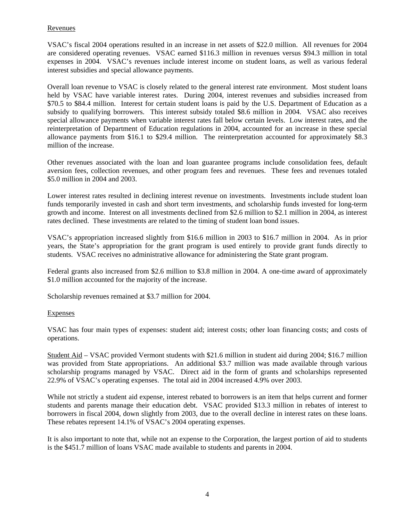## Revenues

VSAC's fiscal 2004 operations resulted in an increase in net assets of \$22.0 million. All revenues for 2004 are considered operating revenues. VSAC earned \$116.3 million in revenues versus \$94.3 million in total expenses in 2004. VSAC's revenues include interest income on student loans, as well as various federal interest subsidies and special allowance payments.

Overall loan revenue to VSAC is closely related to the general interest rate environment. Most student loans held by VSAC have variable interest rates. During 2004, interest revenues and subsidies increased from \$70.5 to \$84.4 million. Interest for certain student loans is paid by the U.S. Department of Education as a subsidy to qualifying borrowers. This interest subsidy totaled \$8.6 million in 2004. VSAC also receives special allowance payments when variable interest rates fall below certain levels. Low interest rates, and the reinterpretation of Department of Education regulations in 2004, accounted for an increase in these special allowance payments from \$16.1 to \$29.4 million. The reinterpretation accounted for approximately \$8.3 million of the increase.

Other revenues associated with the loan and loan guarantee programs include consolidation fees, default aversion fees, collection revenues, and other program fees and revenues. These fees and revenues totaled \$5.0 million in 2004 and 2003.

Lower interest rates resulted in declining interest revenue on investments. Investments include student loan funds temporarily invested in cash and short term investments, and scholarship funds invested for long-term growth and income. Interest on all investments declined from \$2.6 million to \$2.1 million in 2004, as interest rates declined. These investments are related to the timing of student loan bond issues.

VSAC's appropriation increased slightly from \$16.6 million in 2003 to \$16.7 million in 2004. As in prior years, the State's appropriation for the grant program is used entirely to provide grant funds directly to students. VSAC receives no administrative allowance for administering the State grant program.

Federal grants also increased from \$2.6 million to \$3.8 million in 2004. A one-time award of approximately \$1.0 million accounted for the majority of the increase.

Scholarship revenues remained at \$3.7 million for 2004.

## Expenses

VSAC has four main types of expenses: student aid; interest costs; other loan financing costs; and costs of operations.

Student Aid – VSAC provided Vermont students with \$21.6 million in student aid during 2004; \$16.7 million was provided from State appropriations. An additional \$3.7 million was made available through various scholarship programs managed by VSAC. Direct aid in the form of grants and scholarships represented 22.9% of VSAC's operating expenses. The total aid in 2004 increased 4.9% over 2003.

While not strictly a student aid expense, interest rebated to borrowers is an item that helps current and former students and parents manage their education debt. VSAC provided \$13.3 million in rebates of interest to borrowers in fiscal 2004, down slightly from 2003, due to the overall decline in interest rates on these loans. These rebates represent 14.1% of VSAC's 2004 operating expenses.

It is also important to note that, while not an expense to the Corporation, the largest portion of aid to students is the \$451.7 million of loans VSAC made available to students and parents in 2004.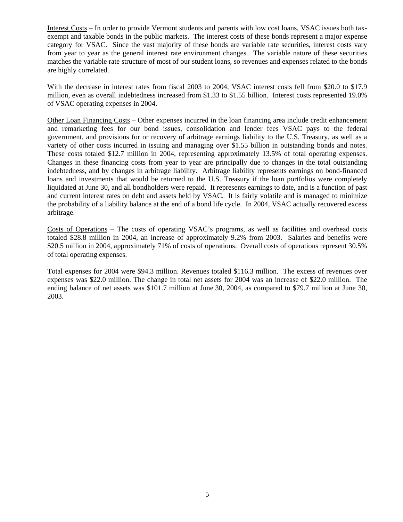Interest Costs – In order to provide Vermont students and parents with low cost loans, VSAC issues both taxexempt and taxable bonds in the public markets. The interest costs of these bonds represent a major expense category for VSAC. Since the vast majority of these bonds are variable rate securities, interest costs vary from year to year as the general interest rate environment changes. The variable nature of these securities matches the variable rate structure of most of our student loans, so revenues and expenses related to the bonds are highly correlated.

With the decrease in interest rates from fiscal 2003 to 2004, VSAC interest costs fell from \$20.0 to \$17.9 million, even as overall indebtedness increased from \$1.33 to \$1.55 billion. Interest costs represented 19.0% of VSAC operating expenses in 2004.

Other Loan Financing Costs – Other expenses incurred in the loan financing area include credit enhancement and remarketing fees for our bond issues, consolidation and lender fees VSAC pays to the federal government, and provisions for or recovery of arbitrage earnings liability to the U.S. Treasury, as well as a variety of other costs incurred in issuing and managing over \$1.55 billion in outstanding bonds and notes. These costs totaled \$12.7 million in 2004, representing approximately 13.5% of total operating expenses. Changes in these financing costs from year to year are principally due to changes in the total outstanding indebtedness, and by changes in arbitrage liability. Arbitrage liability represents earnings on bond-financed loans and investments that would be returned to the U.S. Treasury if the loan portfolios were completely liquidated at June 30, and all bondholders were repaid. It represents earnings to date, and is a function of past and current interest rates on debt and assets held by VSAC. It is fairly volatile and is managed to minimize the probability of a liability balance at the end of a bond life cycle. In 2004, VSAC actually recovered excess arbitrage.

Costs of Operations – The costs of operating VSAC's programs, as well as facilities and overhead costs totaled \$28.8 million in 2004, an increase of approximately 9.2% from 2003. Salaries and benefits were \$20.5 million in 2004, approximately 71% of costs of operations. Overall costs of operations represent 30.5% of total operating expenses.

Total expenses for 2004 were \$94.3 million. Revenues totaled \$116.3 million. The excess of revenues over expenses was \$22.0 million. The change in total net assets for 2004 was an increase of \$22.0 million. The ending balance of net assets was \$101.7 million at June 30, 2004, as compared to \$79.7 million at June 30, 2003.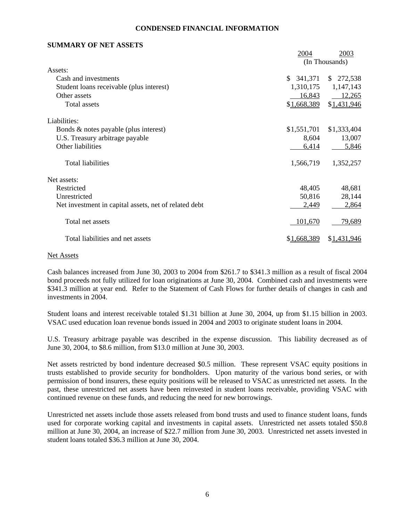#### **CONDENSED FINANCIAL INFORMATION**

## **SUMMARY OF NET ASSETS**

|                                                       | 2004          | 2003           |
|-------------------------------------------------------|---------------|----------------|
|                                                       |               | (In Thousands) |
| Assets:                                               |               |                |
| Cash and investments                                  | 341,371<br>\$ | \$272,538      |
| Student loans receivable (plus interest)              | 1,310,175     | 1,147,143      |
| Other assets                                          | 16,843        | 12,265         |
| Total assets                                          | \$1,668,389   | \$1,431,946    |
| Liabilities:                                          |               |                |
| Bonds & notes payable (plus interest)                 | \$1,551,701   | \$1,333,404    |
| U.S. Treasury arbitrage payable                       | 8,604         | 13,007         |
| Other liabilities                                     | 6,414         | 5,846          |
| Total liabilities                                     | 1,566,719     | 1,352,257      |
| Net assets:                                           |               |                |
| Restricted                                            | 48,405        | 48,681         |
| Unrestricted                                          | 50,816        | 28,144         |
| Net investment in capital assets, net of related debt | 2,449         | 2,864          |
| Total net assets                                      | 101,670       | 79,689         |
| Total liabilities and net assets                      | \$1,668,389   | \$1,431,946    |

#### Net Assets

Cash balances increased from June 30, 2003 to 2004 from \$261.7 to \$341.3 million as a result of fiscal 2004 bond proceeds not fully utilized for loan originations at June 30, 2004. Combined cash and investments were \$341.3 million at year end. Refer to the Statement of Cash Flows for further details of changes in cash and investments in 2004.

Student loans and interest receivable totaled \$1.31 billion at June 30, 2004, up from \$1.15 billion in 2003. VSAC used education loan revenue bonds issued in 2004 and 2003 to originate student loans in 2004.

U.S. Treasury arbitrage payable was described in the expense discussion. This liability decreased as of June 30, 2004, to \$8.6 million, from \$13.0 million at June 30, 2003.

Net assets restricted by bond indenture decreased \$0.5 million. These represent VSAC equity positions in trusts established to provide security for bondholders. Upon maturity of the various bond series, or with permission of bond insurers, these equity positions will be released to VSAC as unrestricted net assets. In the past, these unrestricted net assets have been reinvested in student loans receivable, providing VSAC with continued revenue on these funds, and reducing the need for new borrowings.

Unrestricted net assets include those assets released from bond trusts and used to finance student loans, funds used for corporate working capital and investments in capital assets. Unrestricted net assets totaled \$50.8 million at June 30, 2004, an increase of \$22.7 million from June 30, 2003. Unrestricted net assets invested in student loans totaled \$36.3 million at June 30, 2004.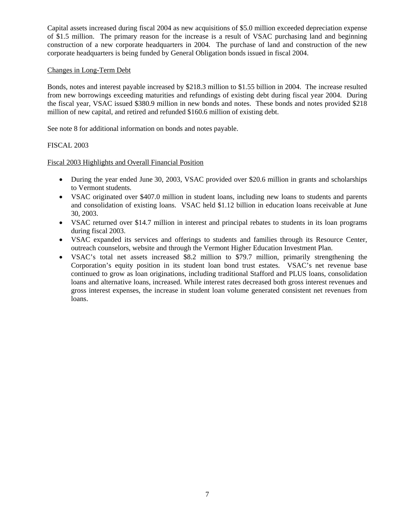Capital assets increased during fiscal 2004 as new acquisitions of \$5.0 million exceeded depreciation expense of \$1.5 million. The primary reason for the increase is a result of VSAC purchasing land and beginning construction of a new corporate headquarters in 2004. The purchase of land and construction of the new corporate headquarters is being funded by General Obligation bonds issued in fiscal 2004.

## Changes in Long-Term Debt

Bonds, notes and interest payable increased by \$218.3 million to \$1.55 billion in 2004. The increase resulted from new borrowings exceeding maturities and refundings of existing debt during fiscal year 2004. During the fiscal year, VSAC issued \$380.9 million in new bonds and notes. These bonds and notes provided \$218 million of new capital, and retired and refunded \$160.6 million of existing debt.

See note 8 for additional information on bonds and notes payable.

## FISCAL 2003

Fiscal 2003 Highlights and Overall Financial Position

- During the year ended June 30, 2003, VSAC provided over \$20.6 million in grants and scholarships to Vermont students.
- VSAC originated over \$407.0 million in student loans, including new loans to students and parents and consolidation of existing loans. VSAC held \$1.12 billion in education loans receivable at June 30, 2003.
- VSAC returned over \$14.7 million in interest and principal rebates to students in its loan programs during fiscal 2003.
- VSAC expanded its services and offerings to students and families through its Resource Center, outreach counselors, website and through the Vermont Higher Education Investment Plan.
- VSAC's total net assets increased \$8.2 million to \$79.7 million, primarily strengthening the Corporation's equity position in its student loan bond trust estates. VSAC's net revenue base continued to grow as loan originations, including traditional Stafford and PLUS loans, consolidation loans and alternative loans, increased. While interest rates decreased both gross interest revenues and gross interest expenses, the increase in student loan volume generated consistent net revenues from loans.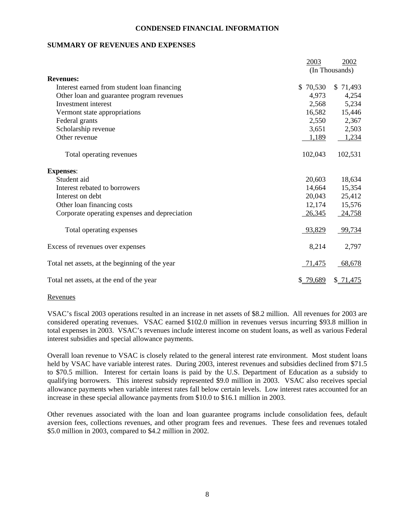#### **CONDENSED FINANCIAL INFORMATION**

## **SUMMARY OF REVENUES AND EXPENSES**

|                                                | 2003      | 2002           |
|------------------------------------------------|-----------|----------------|
|                                                |           | (In Thousands) |
| <b>Revenues:</b>                               |           |                |
| Interest earned from student loan financing    | \$70,530  | \$71,493       |
| Other loan and guarantee program revenues      | 4,973     | 4,254          |
| Investment interest                            | 2,568     | 5,234          |
| Vermont state appropriations                   | 16,582    | 15,446         |
| Federal grants                                 | 2,550     | 2,367          |
| Scholarship revenue                            | 3,651     | 2,503          |
| Other revenue                                  | 1,189     | 1,234          |
| Total operating revenues                       | 102,043   | 102,531        |
| <b>Expenses:</b>                               |           |                |
| Student aid                                    | 20,603    | 18,634         |
| Interest rebated to borrowers                  | 14,664    | 15,354         |
| Interest on debt                               | 20,043    | 25,412         |
| Other loan financing costs                     | 12,174    | 15,576         |
| Corporate operating expenses and depreciation  | 26,345    | 24,758         |
| Total operating expenses                       | 93,829    | 99,734         |
| Excess of revenues over expenses               | 8,214     | 2,797          |
| Total net assets, at the beginning of the year | 71,475    | 68,678         |
| Total net assets, at the end of the year       | \$ 79,689 | \$71,475       |

#### Revenues

VSAC's fiscal 2003 operations resulted in an increase in net assets of \$8.2 million. All revenues for 2003 are considered operating revenues. VSAC earned \$102.0 million in revenues versus incurring \$93.8 million in total expenses in 2003. VSAC's revenues include interest income on student loans, as well as various Federal interest subsidies and special allowance payments.

Overall loan revenue to VSAC is closely related to the general interest rate environment. Most student loans held by VSAC have variable interest rates. During 2003, interest revenues and subsidies declined from \$71.5 to \$70.5 million. Interest for certain loans is paid by the U.S. Department of Education as a subsidy to qualifying borrowers. This interest subsidy represented \$9.0 million in 2003. VSAC also receives special allowance payments when variable interest rates fall below certain levels. Low interest rates accounted for an increase in these special allowance payments from \$10.0 to \$16.1 million in 2003.

Other revenues associated with the loan and loan guarantee programs include consolidation fees, default aversion fees, collections revenues, and other program fees and revenues. These fees and revenues totaled \$5.0 million in 2003, compared to \$4.2 million in 2002.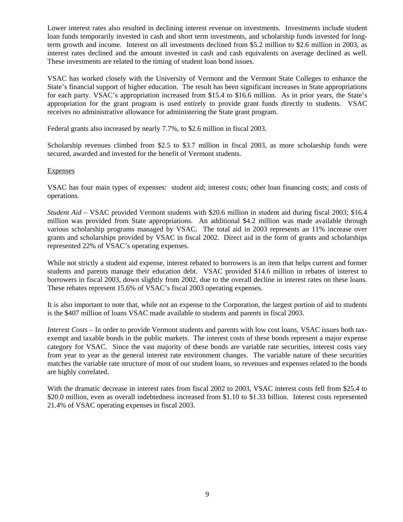Lower interest rates also resulted in declining interest revenue on investments. Investments include student loan funds temporarily invested in cash and short term investments, and scholarship funds invested for longterm growth and income. Interest on all investments declined from \$5.2 million to \$2.6 million in 2003, as interest rates declined and the amount invested in cash and cash equivalents on average declined as well. These investments are related to the timing of student loan bond issues.

VSAC has worked closely with the University of Vermont and the Vermont State Colleges to enhance the State's financial support of higher education. The result has been significant increases in State appropriations for each party. VSAC's appropriation increased from \$15.4 to \$16.6 million. As in prior years, the State's appropriation for the grant program is used entirely to provide grant funds directly to students. VSAC receives no administrative allowance for administering the State grant program.

Federal grants also increased by nearly 7.7%, to \$2.6 million in fiscal 2003.

Scholarship revenues climbed from \$2.5 to \$3.7 million in fiscal 2003, as more scholarship funds were secured, awarded and invested for the benefit of Vermont students.

### **Expenses**

VSAC has four main types of expenses: student aid; interest costs; other loan financing costs; and costs of operations.

*Student Aid* – VSAC provided Vermont students with \$20.6 million in student aid during fiscal 2003; \$16.4 million was provided from State appropriations. An additional \$4.2 million was made available through various scholarship programs managed by VSAC. The total aid in 2003 represents an 11% increase over grants and scholarships provided by VSAC in fiscal 2002. Direct aid in the form of grants and scholarships represented 22% of VSAC's operating expenses.

While not strictly a student aid expense, interest rebated to borrowers is an item that helps current and former students and parents manage their education debt. VSAC provided \$14.6 million in rebates of interest to borrowers in fiscal 2003, down slightly from 2002, due to the overall decline in interest rates on these loans. These rebates represent 15.6% of VSAC's fiscal 2003 operating expenses.

It is also important to note that, while not an expense to the Corporation, the largest portion of aid to students is the \$407 million of loans VSAC made available to students and parents in fiscal 2003.

*Interest Costs* – In order to provide Vermont students and parents with low cost loans, VSAC issues both taxexempt and taxable bonds in the public markets. The interest costs of these bonds represent a major expense category for VSAC. Since the vast majority of these bonds are variable rate securities, interest costs vary from year to year as the general interest rate environment changes. The variable nature of these securities matches the variable rate structure of most of our student loans, so revenues and expenses related to the bonds are highly correlated.

With the dramatic decrease in interest rates from fiscal 2002 to 2003, VSAC interest costs fell from \$25.4 to \$20.0 million, even as overall indebtedness increased from \$1.10 to \$1.33 billion. Interest costs represented 21.4% of VSAC operating expenses in fiscal 2003.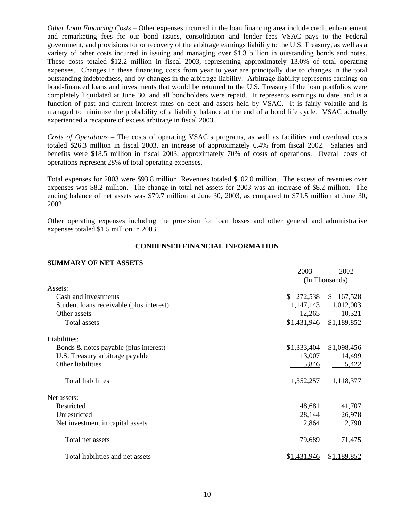*Other Loan Financing Costs* – Other expenses incurred in the loan financing area include credit enhancement and remarketing fees for our bond issues, consolidation and lender fees VSAC pays to the Federal government, and provisions for or recovery of the arbitrage earnings liability to the U.S. Treasury, as well as a variety of other costs incurred in issuing and managing over \$1.3 billion in outstanding bonds and notes. These costs totaled \$12.2 million in fiscal 2003, representing approximately 13.0% of total operating expenses. Changes in these financing costs from year to year are principally due to changes in the total outstanding indebtedness, and by changes in the arbitrage liability. Arbitrage liability represents earnings on bond-financed loans and investments that would be returned to the U.S. Treasury if the loan portfolios were completely liquidated at June 30, and all bondholders were repaid. It represents earnings to date, and is a function of past and current interest rates on debt and assets held by VSAC. It is fairly volatile and is managed to minimize the probability of a liability balance at the end of a bond life cycle. VSAC actually experienced a recapture of excess arbitrage in fiscal 2003.

*Costs of Operations* – The costs of operating VSAC's programs, as well as facilities and overhead costs totaled \$26.3 million in fiscal 2003, an increase of approximately 6.4% from fiscal 2002. Salaries and benefits were \$18.5 million in fiscal 2003, approximately 70% of costs of operations. Overall costs of operations represent 28% of total operating expenses.

Total expenses for 2003 were \$93.8 million. Revenues totaled \$102.0 million. The excess of revenues over expenses was \$8.2 million. The change in total net assets for 2003 was an increase of \$8.2 million. The ending balance of net assets was \$79.7 million at June 30, 2003, as compared to \$71.5 million at June 30, 2002.

Other operating expenses including the provision for loan losses and other general and administrative expenses totaled \$1.5 million in 2003.

### **CONDENSED FINANCIAL INFORMATION**

#### **SUMMARY OF NET ASSETS**

|                                          | 2003        | 2002           |
|------------------------------------------|-------------|----------------|
|                                          |             | (In Thousands) |
| Assets:                                  |             |                |
| Cash and investments                     | \$272,538   | \$167,528      |
| Student loans receivable (plus interest) | 1,147,143   | 1,012,003      |
| Other assets                             | 12,265      | 10,321         |
| Total assets                             | \$1,431,946 | \$1,189,852    |
| Liabilities:                             |             |                |
| Bonds & notes payable (plus interest)    | \$1,333,404 | \$1,098,456    |
| U.S. Treasury arbitrage payable          | 13,007      | 14,499         |
| Other liabilities                        | 5,846       | 5,422          |
| <b>Total liabilities</b>                 | 1,352,257   | 1,118,377      |
| Net assets:                              |             |                |
| Restricted                               | 48,681      | 41,707         |
| Unrestricted                             | 28,144      | 26,978         |
| Net investment in capital assets         | 2,864       | 2,790          |
| Total net assets                         | 79,689      | 71,475         |
| Total liabilities and net assets         | \$1,431,946 | \$1,189,852    |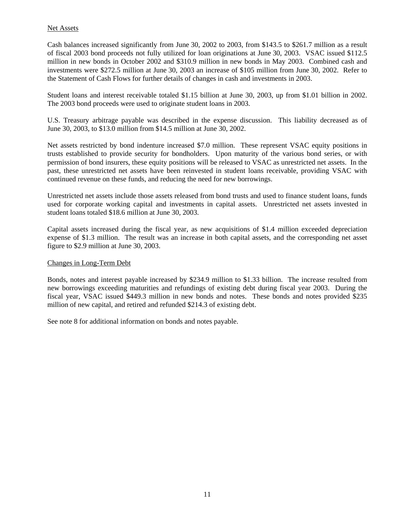## Net Assets

Cash balances increased significantly from June 30, 2002 to 2003, from \$143.5 to \$261.7 million as a result of fiscal 2003 bond proceeds not fully utilized for loan originations at June 30, 2003. VSAC issued \$112.5 million in new bonds in October 2002 and \$310.9 million in new bonds in May 2003. Combined cash and investments were \$272.5 million at June 30, 2003 an increase of \$105 million from June 30, 2002. Refer to the Statement of Cash Flows for further details of changes in cash and investments in 2003.

Student loans and interest receivable totaled \$1.15 billion at June 30, 2003, up from \$1.01 billion in 2002. The 2003 bond proceeds were used to originate student loans in 2003.

U.S. Treasury arbitrage payable was described in the expense discussion. This liability decreased as of June 30, 2003, to \$13.0 million from \$14.5 million at June 30, 2002.

Net assets restricted by bond indenture increased \$7.0 million. These represent VSAC equity positions in trusts established to provide security for bondholders. Upon maturity of the various bond series, or with permission of bond insurers, these equity positions will be released to VSAC as unrestricted net assets. In the past, these unrestricted net assets have been reinvested in student loans receivable, providing VSAC with continued revenue on these funds, and reducing the need for new borrowings.

Unrestricted net assets include those assets released from bond trusts and used to finance student loans, funds used for corporate working capital and investments in capital assets. Unrestricted net assets invested in student loans totaled \$18.6 million at June 30, 2003.

Capital assets increased during the fiscal year, as new acquisitions of \$1.4 million exceeded depreciation expense of \$1.3 million. The result was an increase in both capital assets, and the corresponding net asset figure to \$2.9 million at June 30, 2003.

## Changes in Long-Term Debt

Bonds, notes and interest payable increased by \$234.9 million to \$1.33 billion. The increase resulted from new borrowings exceeding maturities and refundings of existing debt during fiscal year 2003. During the fiscal year, VSAC issued \$449.3 million in new bonds and notes. These bonds and notes provided \$235 million of new capital, and retired and refunded \$214.3 of existing debt.

See note 8 for additional information on bonds and notes payable.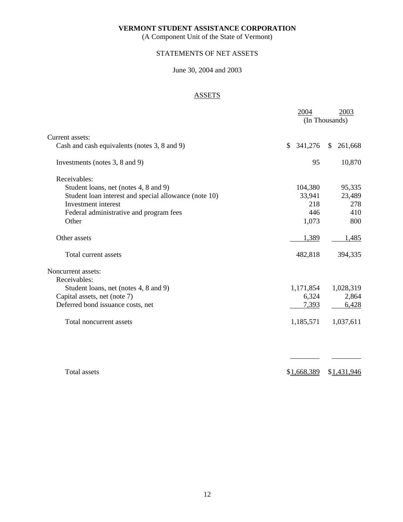(A Component Unit of the State of Vermont)

## <span id="page-12-0"></span>STATEMENTS OF NET ASSETS

## June 30, 2004 and 2003

## **ASSETS**

|                                                       | 2004          | 2003                    |
|-------------------------------------------------------|---------------|-------------------------|
|                                                       |               | (In Thousands)          |
| Current assets:                                       |               |                         |
| Cash and cash equivalents (notes 3, 8 and 9)          | 341,276<br>\$ | 261,668<br>$\mathbb{S}$ |
| Investments (notes 3, 8 and 9)                        | 95            | 10,870                  |
| Receivables:                                          |               |                         |
| Student loans, net (notes 4, 8 and 9)                 | 104,380       | 95,335                  |
| Student loan interest and special allowance (note 10) | 33,941        | 23,489                  |
| Investment interest                                   | 218           | 278                     |
| Federal administrative and program fees               | 446           | 410                     |
| Other                                                 | 1,073         | 800                     |
| Other assets                                          | 1,389         | 1,485                   |
| Total current assets                                  | 482,818       | 394,335                 |
| Noncurrent assets:                                    |               |                         |
| Receivables:                                          |               |                         |
| Student loans, net (notes 4, 8 and 9)                 | 1,171,854     | 1,028,319               |
| Capital assets, net (note 7)                          | 6,324         | 2,864                   |
| Deferred bond issuance costs, net                     | 7,393         | 6,428                   |
| Total noncurrent assets                               | 1,185,571     | 1,037,611               |
|                                                       |               |                         |
| <b>Total</b> assets                                   | \$1,668,389   | \$1,431,946             |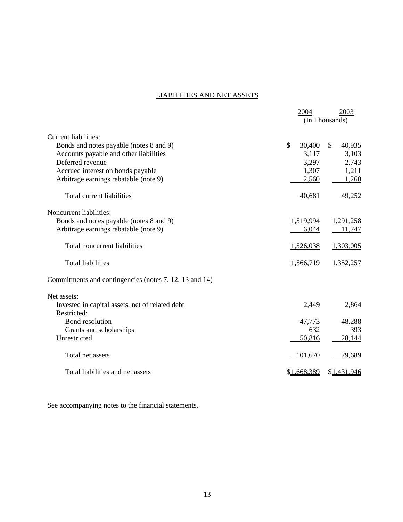## <span id="page-13-0"></span>LIABILITIES AND NET ASSETS

|                                                        | 2004         | 2003                   |
|--------------------------------------------------------|--------------|------------------------|
|                                                        |              | (In Thousands)         |
| <b>Current liabilities:</b>                            |              |                        |
| Bonds and notes payable (notes 8 and 9)                | \$<br>30,400 | $\mathbb{S}$<br>40,935 |
| Accounts payable and other liabilities                 | 3,117        | 3,103                  |
| Deferred revenue                                       | 3,297        | 2,743                  |
| Accrued interest on bonds payable                      | 1,307        | 1,211                  |
| Arbitrage earnings rebatable (note 9)                  | 2,560        | 1,260                  |
| Total current liabilities                              | 40,681       | 49,252                 |
| Noncurrent liabilities:                                |              |                        |
| Bonds and notes payable (notes 8 and 9)                | 1,519,994    | 1,291,258              |
| Arbitrage earnings rebatable (note 9)                  | 6,044        | 11,747                 |
| Total noncurrent liabilities                           | 1,526,038    | 1,303,005              |
| <b>Total liabilities</b>                               | 1,566,719    | 1,352,257              |
| Commitments and contingencies (notes 7, 12, 13 and 14) |              |                        |
| Net assets:                                            |              |                        |
| Invested in capital assets, net of related debt        | 2,449        | 2,864                  |
| Restricted:                                            |              |                        |
| Bond resolution                                        | 47,773       | 48,288                 |
| Grants and scholarships                                | 632          | 393                    |
| Unrestricted                                           | 50,816       | 28,144                 |
| Total net assets                                       | 101,670      | 79,689                 |
| Total liabilities and net assets                       | \$1,668,389  | \$1,431,946            |

See accompanying notes to the financial statements.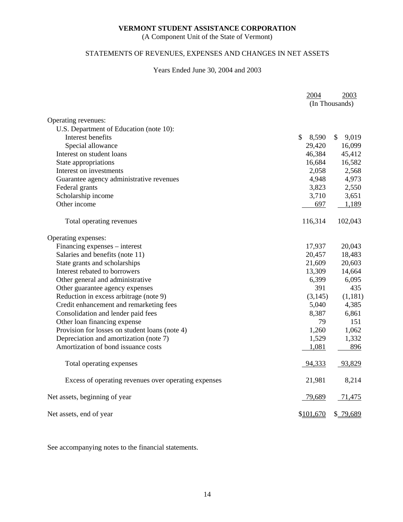(A Component Unit of the State of Vermont)

## <span id="page-14-0"></span>STATEMENTS OF REVENUES, EXPENSES AND CHANGES IN NET ASSETS

## Years Ended June 30, 2004 and 2003

|                                                      | 2004        | 2003           |
|------------------------------------------------------|-------------|----------------|
|                                                      |             | (In Thousands) |
| Operating revenues:                                  |             |                |
| U.S. Department of Education (note 10):              |             |                |
| Interest benefits                                    | \$<br>8,590 | 9,019<br>\$    |
| Special allowance                                    | 29,420      | 16,099         |
| Interest on student loans                            | 46,384      | 45,412         |
| State appropriations                                 | 16,684      | 16,582         |
| Interest on investments                              | 2,058       | 2,568          |
| Guarantee agency administrative revenues             | 4,948       | 4,973          |
| Federal grants                                       | 3,823       | 2,550          |
| Scholarship income                                   | 3,710       | 3,651          |
| Other income                                         | 697         | 1,189          |
| Total operating revenues                             | 116,314     | 102,043        |
| Operating expenses:                                  |             |                |
| Financing expenses – interest                        | 17,937      | 20,043         |
| Salaries and benefits (note 11)                      | 20,457      | 18,483         |
| State grants and scholarships                        | 21,609      | 20,603         |
| Interest rebated to borrowers                        | 13,309      | 14,664         |
| Other general and administrative                     | 6,399       | 6,095          |
| Other guarantee agency expenses                      | 391         | 435            |
| Reduction in excess arbitrage (note 9)               | (3, 145)    | (1,181)        |
| Credit enhancement and remarketing fees              | 5,040       | 4,385          |
| Consolidation and lender paid fees                   | 8,387       | 6,861          |
| Other loan financing expense                         | 79          | 151            |
| Provision for losses on student loans (note 4)       | 1,260       | 1,062          |
| Depreciation and amortization (note 7)               | 1,529       | 1,332          |
| Amortization of bond issuance costs                  | 1,081       | 896            |
| Total operating expenses                             | 94,333      | 93,829         |
| Excess of operating revenues over operating expenses | 21,981      | 8,214          |
| Net assets, beginning of year                        | 79,689      | 71,475         |
| Net assets, end of year                              | \$101,670   | \$79,689       |

See accompanying notes to the financial statements.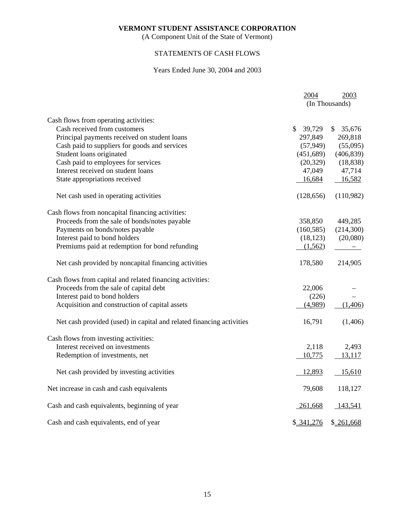(A Component Unit of the State of Vermont)

## <span id="page-15-0"></span>STATEMENTS OF CASH FLOWS

## Years Ended June 30, 2004 and 2003

|                                                                      | 2004          | 2003           |
|----------------------------------------------------------------------|---------------|----------------|
|                                                                      |               | (In Thousands) |
| Cash flows from operating activities:                                |               |                |
| Cash received from customers                                         | 39,729<br>\$. | \$<br>35,676   |
| Principal payments received on student loans                         | 297,849       | 269,818        |
| Cash paid to suppliers for goods and services                        | (57, 949)     | (55,095)       |
| Student loans originated                                             | (451,689)     | (406, 839)     |
| Cash paid to employees for services                                  | (20, 329)     | (18, 838)      |
| Interest received on student loans                                   | 47,049        | 47,714         |
| State appropriations received                                        | 16,684        | 16,582         |
| Net cash used in operating activities                                | (128, 656)    | (110,982)      |
| Cash flows from noncapital financing activities:                     |               |                |
| Proceeds from the sale of bonds/notes payable                        | 358,850       | 449,285        |
| Payments on bonds/notes payable                                      | (160, 585)    | (214,300)      |
| Interest paid to bond holders                                        | (18, 123)     | (20,080)       |
| Premiums paid at redemption for bond refunding                       | (1,562)       |                |
| Net cash provided by noncapital financing activities                 | 178,580       | 214,905        |
| Cash flows from capital and related financing activities:            |               |                |
| Proceeds from the sale of capital debt                               | 22,006        |                |
| Interest paid to bond holders                                        | (226)         |                |
| Acquisition and construction of capital assets                       | (4,989)       | (1,406)        |
| Net cash provided (used) in capital and related financing activities | 16,791        | (1,406)        |
| Cash flows from investing activities:                                |               |                |
| Interest received on investments                                     | 2,118         | 2,493          |
| Redemption of investments, net                                       | 10,775        | 13,117         |
| Net cash provided by investing activities                            | 12,893        | 15,610         |
| Net increase in cash and cash equivalents                            | 79,608        | 118,127        |
| Cash and cash equivalents, beginning of year                         | $-261,668$    | 143,541        |
| Cash and cash equivalents, end of year                               | \$341,276     | \$261,668      |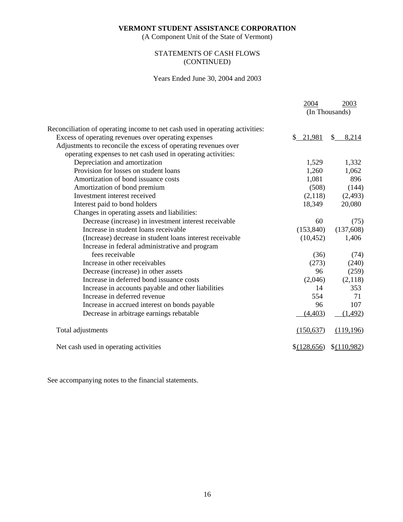(A Component Unit of the State of Vermont)

## <span id="page-16-0"></span>STATEMENTS OF CASH FLOWS (CONTINUED)

## Years Ended June 30, 2004 and 2003

|                                                                              | 2004        | 2003           |
|------------------------------------------------------------------------------|-------------|----------------|
|                                                                              |             | (In Thousands) |
| Reconciliation of operating income to net cash used in operating activities: |             |                |
| Excess of operating revenues over operating expenses                         | \$21,981    | 8,214<br>S.    |
| Adjustments to reconcile the excess of operating revenues over               |             |                |
| operating expenses to net cash used in operating activities:                 |             |                |
| Depreciation and amortization                                                | 1,529       | 1,332          |
| Provision for losses on student loans                                        | 1,260       | 1,062          |
| Amortization of bond issuance costs                                          | 1,081       | 896            |
| Amortization of bond premium                                                 | (508)       | (144)          |
| Investment interest received                                                 | (2,118)     | (2, 493)       |
| Interest paid to bond holders                                                | 18,349      | 20,080         |
| Changes in operating assets and liabilities:                                 |             |                |
| Decrease (increase) in investment interest receivable                        | 60          | (75)           |
| Increase in student loans receivable                                         | (153, 840)  | (137,608)      |
| (Increase) decrease in student loans interest receivable                     | (10, 452)   | 1,406          |
| Increase in federal administrative and program                               |             |                |
| fees receivable                                                              | (36)        | (74)           |
| Increase in other receivables                                                | (273)       | (240)          |
| Decrease (increase) in other assets                                          | 96          | (259)          |
| Increase in deferred bond issuance costs                                     | (2,046)     | (2,118)        |
| Increase in accounts payable and other liabilities                           | 14          | 353            |
| Increase in deferred revenue                                                 | 554         | 71             |
| Increase in accrued interest on bonds payable                                | 96          | 107            |
| Decrease in arbitrage earnings rebatable                                     | (4, 403)    | (1, 492)       |
| Total adjustments                                                            | (150, 637)  | (119, 196)     |
| Net cash used in operating activities                                        | \$(128,656) | \$(110,982)    |

See accompanying notes to the financial statements.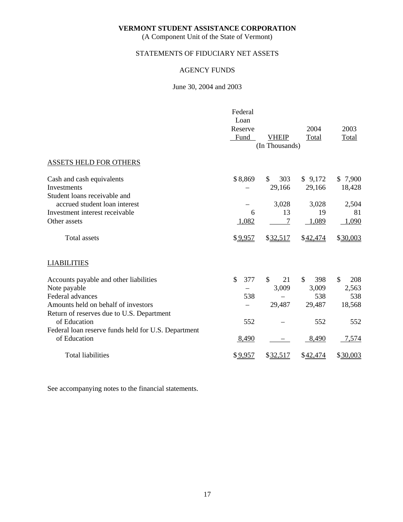(A Component Unit of the State of Vermont)

## <span id="page-17-0"></span>STATEMENTS OF FIDUCIARY NET ASSETS

## AGENCY FUNDS

## June 30, 2004 and 2003

|                                                     | Federal<br>Loan |                |                     |                      |
|-----------------------------------------------------|-----------------|----------------|---------------------|----------------------|
|                                                     | Reserve         |                | 2004                | 2003                 |
|                                                     | Fund            | <b>VHEIP</b>   | Total               | Total                |
|                                                     |                 | (In Thousands) |                     |                      |
| <b>ASSETS HELD FOR OTHERS</b>                       |                 |                |                     |                      |
| Cash and cash equivalents                           | \$8,869         | \$<br>303      | \$9,172             | \$7,900              |
| Investments                                         |                 | 29,166         | 29,166              | 18,428               |
| Student loans receivable and                        |                 |                |                     |                      |
| accrued student loan interest                       |                 | 3,028          | 3,028               | 2,504                |
| Investment interest receivable                      | 6               | 13             | 19                  | 81                   |
| Other assets                                        | 1,082           |                | 1,089               | 1,090                |
| <b>Total assets</b>                                 | \$9,957         | \$32,517       | \$42,474            | \$30,003             |
| <b>LIABILITIES</b>                                  |                 |                |                     |                      |
| Accounts payable and other liabilities              | \$<br>377       | \$<br>21       | $\mathbb{S}$<br>398 | $\mathcal{S}$<br>208 |
| Note payable                                        |                 | 3,009          | 3,009               | 2,563                |
| Federal advances                                    | 538             |                | 538                 | 538                  |
| Amounts held on behalf of investors                 |                 | 29,487         | 29,487              | 18,568               |
| Return of reserves due to U.S. Department           |                 |                |                     |                      |
| of Education                                        | 552             |                | 552                 | 552                  |
| Federal loan reserve funds held for U.S. Department |                 |                |                     |                      |
| of Education                                        | 8,490           |                | 8,490               | 7,574                |
| <b>Total liabilities</b>                            | \$9,957         | \$32,517       | \$42,474            | \$30,003             |

See accompanying notes to the financial statements.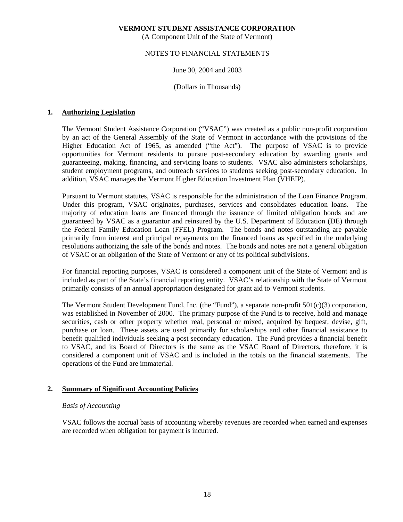(A Component Unit of the State of Vermont)

### <span id="page-18-0"></span>NOTES TO FINANCIAL STATEMENTS

## June 30, 2004 and 2003

(Dollars in Thousands)

## **1. Authorizing Legislation**

 The Vermont Student Assistance Corporation ("VSAC") was created as a public non-profit corporation by an act of the General Assembly of the State of Vermont in accordance with the provisions of the Higher Education Act of 1965, as amended ("the Act"). The purpose of VSAC is to provide opportunities for Vermont residents to pursue post-secondary education by awarding grants and guaranteeing, making, financing, and servicing loans to students. VSAC also administers scholarships, student employment programs, and outreach services to students seeking post-secondary education. In addition, VSAC manages the Vermont Higher Education Investment Plan (VHEIP).

 Pursuant to Vermont statutes, VSAC is responsible for the administration of the Loan Finance Program. Under this program, VSAC originates, purchases, services and consolidates education loans. The majority of education loans are financed through the issuance of limited obligation bonds and are guaranteed by VSAC as a guarantor and reinsured by the U.S. Department of Education (DE) through the Federal Family Education Loan (FFEL) Program. The bonds and notes outstanding are payable primarily from interest and principal repayments on the financed loans as specified in the underlying resolutions authorizing the sale of the bonds and notes. The bonds and notes are not a general obligation of VSAC or an obligation of the State of Vermont or any of its political subdivisions.

 For financial reporting purposes, VSAC is considered a component unit of the State of Vermont and is included as part of the State's financial reporting entity. VSAC's relationship with the State of Vermont primarily consists of an annual appropriation designated for grant aid to Vermont students.

 The Vermont Student Development Fund, Inc. (the "Fund"), a separate non-profit 501(c)(3) corporation, was established in November of 2000. The primary purpose of the Fund is to receive, hold and manage securities, cash or other property whether real, personal or mixed, acquired by bequest, devise, gift, purchase or loan. These assets are used primarily for scholarships and other financial assistance to benefit qualified individuals seeking a post secondary education. The Fund provides a financial benefit to VSAC, and its Board of Directors is the same as the VSAC Board of Directors, therefore, it is considered a component unit of VSAC and is included in the totals on the financial statements. The operations of the Fund are immaterial.

## **2. Summary of Significant Accounting Policies**

## *Basis of Accounting*

 VSAC follows the accrual basis of accounting whereby revenues are recorded when earned and expenses are recorded when obligation for payment is incurred.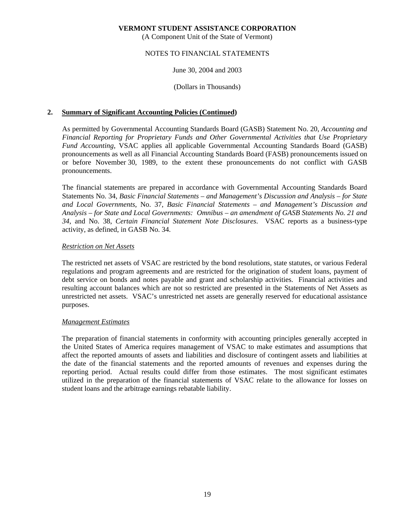(A Component Unit of the State of Vermont)

### NOTES TO FINANCIAL STATEMENTS

June 30, 2004 and 2003

(Dollars in Thousands)

## **2. Summary of Significant Accounting Policies (Continued)**

 As permitted by Governmental Accounting Standards Board (GASB) Statement No. 20, *Accounting and Financial Reporting for Proprietary Funds and Other Governmental Activities that Use Proprietary Fund Accounting*, VSAC applies all applicable Governmental Accounting Standards Board (GASB) pronouncements as well as all Financial Accounting Standards Board (FASB) pronouncements issued on or before November 30, 1989, to the extent these pronouncements do not conflict with GASB pronouncements.

 The financial statements are prepared in accordance with Governmental Accounting Standards Board Statements No. 34, *Basic Financial Statements – and Management's Discussion and Analysis – for State and Local Governments*, No. 37, *Basic Financial Statements – and Management's Discussion and Analysis – for State and Local Governments: Omnibus – an amendment of GASB Statements No. 21 and 34*, and No. 38, *Certain Financial Statement Note Disclosures*. VSAC reports as a business-type activity, as defined, in GASB No. 34.

### *Restriction on Net Assets*

 The restricted net assets of VSAC are restricted by the bond resolutions, state statutes, or various Federal regulations and program agreements and are restricted for the origination of student loans, payment of debt service on bonds and notes payable and grant and scholarship activities. Financial activities and resulting account balances which are not so restricted are presented in the Statements of Net Assets as unrestricted net assets. VSAC's unrestricted net assets are generally reserved for educational assistance purposes.

#### *Management Estimates*

 The preparation of financial statements in conformity with accounting principles generally accepted in the United States of America requires management of VSAC to make estimates and assumptions that affect the reported amounts of assets and liabilities and disclosure of contingent assets and liabilities at the date of the financial statements and the reported amounts of revenues and expenses during the reporting period. Actual results could differ from those estimates. The most significant estimates utilized in the preparation of the financial statements of VSAC relate to the allowance for losses on student loans and the arbitrage earnings rebatable liability.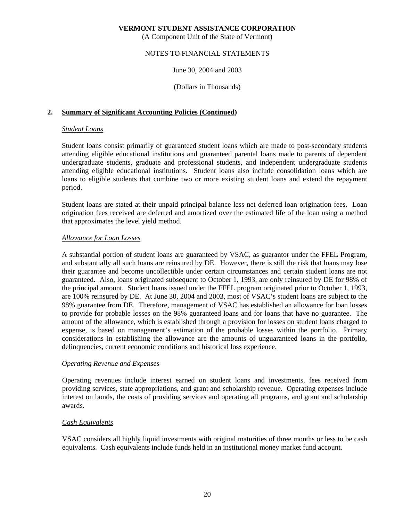(A Component Unit of the State of Vermont)

### NOTES TO FINANCIAL STATEMENTS

June 30, 2004 and 2003

(Dollars in Thousands)

## **2. Summary of Significant Accounting Policies (Continued)**

### *Student Loans*

 Student loans consist primarily of guaranteed student loans which are made to post-secondary students attending eligible educational institutions and guaranteed parental loans made to parents of dependent undergraduate students, graduate and professional students, and independent undergraduate students attending eligible educational institutions. Student loans also include consolidation loans which are loans to eligible students that combine two or more existing student loans and extend the repayment period.

 Student loans are stated at their unpaid principal balance less net deferred loan origination fees. Loan origination fees received are deferred and amortized over the estimated life of the loan using a method that approximates the level yield method.

## *Allowance for Loan Losses*

 A substantial portion of student loans are guaranteed by VSAC, as guarantor under the FFEL Program, and substantially all such loans are reinsured by DE. However, there is still the risk that loans may lose their guarantee and become uncollectible under certain circumstances and certain student loans are not guaranteed. Also, loans originated subsequent to October 1, 1993, are only reinsured by DE for 98% of the principal amount. Student loans issued under the FFEL program originated prior to October 1, 1993, are 100% reinsured by DE. At June 30, 2004 and 2003, most of VSAC's student loans are subject to the 98% guarantee from DE. Therefore, management of VSAC has established an allowance for loan losses to provide for probable losses on the 98% guaranteed loans and for loans that have no guarantee. The amount of the allowance, which is established through a provision for losses on student loans charged to expense, is based on management's estimation of the probable losses within the portfolio. Primary considerations in establishing the allowance are the amounts of unguaranteed loans in the portfolio, delinquencies, current economic conditions and historical loss experience.

#### *Operating Revenue and Expenses*

 Operating revenues include interest earned on student loans and investments, fees received from providing services, state appropriations, and grant and scholarship revenue. Operating expenses include interest on bonds, the costs of providing services and operating all programs, and grant and scholarship awards.

## *Cash Equivalents*

 VSAC considers all highly liquid investments with original maturities of three months or less to be cash equivalents. Cash equivalents include funds held in an institutional money market fund account.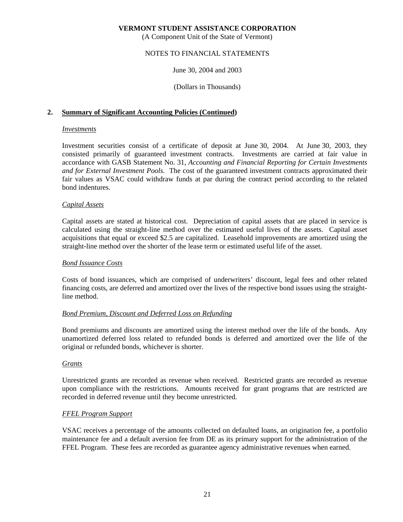(A Component Unit of the State of Vermont)

### NOTES TO FINANCIAL STATEMENTS

June 30, 2004 and 2003

(Dollars in Thousands)

## **2. Summary of Significant Accounting Policies (Continued)**

#### *Investments*

 Investment securities consist of a certificate of deposit at June 30, 2004. At June 30, 2003, they consisted primarily of guaranteed investment contracts. Investments are carried at fair value in accordance with GASB Statement No. 31, *Accounting and Financial Reporting for Certain Investments and for External Investment Pools*. The cost of the guaranteed investment contracts approximated their fair values as VSAC could withdraw funds at par during the contract period according to the related bond indentures.

### *Capital Assets*

 Capital assets are stated at historical cost. Depreciation of capital assets that are placed in service is calculated using the straight-line method over the estimated useful lives of the assets. Capital asset acquisitions that equal or exceed \$2.5 are capitalized. Leasehold improvements are amortized using the straight-line method over the shorter of the lease term or estimated useful life of the asset.

#### *Bond Issuance Costs*

 Costs of bond issuances, which are comprised of underwriters' discount, legal fees and other related financing costs, are deferred and amortized over the lives of the respective bond issues using the straightline method.

## *Bond Premium, Discount and Deferred Loss on Refunding*

 Bond premiums and discounts are amortized using the interest method over the life of the bonds. Any unamortized deferred loss related to refunded bonds is deferred and amortized over the life of the original or refunded bonds, whichever is shorter.

## *Grants*

 Unrestricted grants are recorded as revenue when received. Restricted grants are recorded as revenue upon compliance with the restrictions. Amounts received for grant programs that are restricted are recorded in deferred revenue until they become unrestricted.

## *FFEL Program Support*

 VSAC receives a percentage of the amounts collected on defaulted loans, an origination fee, a portfolio maintenance fee and a default aversion fee from DE as its primary support for the administration of the FFEL Program. These fees are recorded as guarantee agency administrative revenues when earned.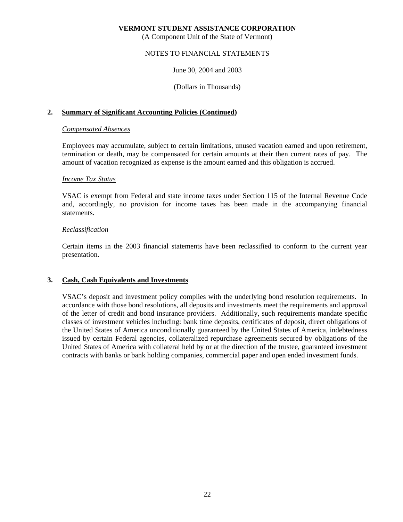(A Component Unit of the State of Vermont)

### NOTES TO FINANCIAL STATEMENTS

June 30, 2004 and 2003

(Dollars in Thousands)

## **2. Summary of Significant Accounting Policies (Continued)**

#### *Compensated Absences*

 Employees may accumulate, subject to certain limitations, unused vacation earned and upon retirement, termination or death, may be compensated for certain amounts at their then current rates of pay. The amount of vacation recognized as expense is the amount earned and this obligation is accrued.

#### *Income Tax Status*

 VSAC is exempt from Federal and state income taxes under Section 115 of the Internal Revenue Code and, accordingly, no provision for income taxes has been made in the accompanying financial statements.

#### *Reclassification*

 Certain items in the 2003 financial statements have been reclassified to conform to the current year presentation.

#### **3. Cash, Cash Equivalents and Investments**

 VSAC's deposit and investment policy complies with the underlying bond resolution requirements. In accordance with those bond resolutions, all deposits and investments meet the requirements and approval of the letter of credit and bond insurance providers. Additionally, such requirements mandate specific classes of investment vehicles including: bank time deposits, certificates of deposit, direct obligations of the United States of America unconditionally guaranteed by the United States of America, indebtedness issued by certain Federal agencies, collateralized repurchase agreements secured by obligations of the United States of America with collateral held by or at the direction of the trustee, guaranteed investment contracts with banks or bank holding companies, commercial paper and open ended investment funds.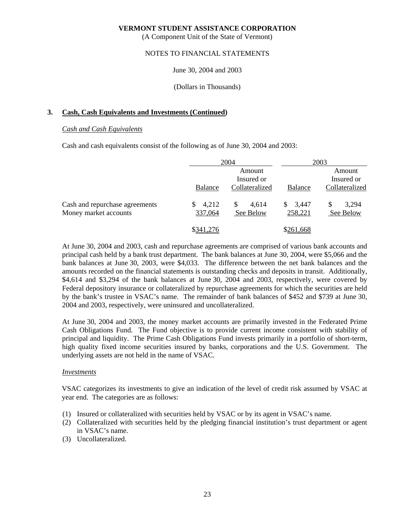(A Component Unit of the State of Vermont)

### NOTES TO FINANCIAL STATEMENTS

June 30, 2004 and 2003

(Dollars in Thousands)

## **3. Cash, Cash Equivalents and Investments (Continued)**

#### *Cash and Cash Equivalents*

Cash and cash equivalents consist of the following as of June 30, 2004 and 2003:

|                                                         |                  | 2004                                   |                        | 2003                                   |
|---------------------------------------------------------|------------------|----------------------------------------|------------------------|----------------------------------------|
|                                                         | <b>Balance</b>   | Amount<br>Insured or<br>Collateralized | <b>Balance</b>         | Amount<br>Insured or<br>Collateralized |
| Cash and repurchase agreements<br>Money market accounts | 4,212<br>337,064 | S.<br>4,614<br>See Below               | 3,447<br>S.<br>258,221 | 3,294<br>S<br>See Below                |
|                                                         | \$341,276        |                                        | \$261,668              |                                        |

 At June 30, 2004 and 2003, cash and repurchase agreements are comprised of various bank accounts and principal cash held by a bank trust department. The bank balances at June 30, 2004, were \$5,066 and the bank balances at June 30, 2003, were \$4,033. The difference between the net bank balances and the amounts recorded on the financial statements is outstanding checks and deposits in transit. Additionally, \$4,614 and \$3,294 of the bank balances at June 30, 2004 and 2003, respectively, were covered by Federal depository insurance or collateralized by repurchase agreements for which the securities are held by the bank's trustee in VSAC's name. The remainder of bank balances of \$452 and \$739 at June 30, 2004 and 2003, respectively, were uninsured and uncollateralized.

 At June 30, 2004 and 2003, the money market accounts are primarily invested in the Federated Prime Cash Obligations Fund. The Fund objective is to provide current income consistent with stability of principal and liquidity. The Prime Cash Obligations Fund invests primarily in a portfolio of short-term, high quality fixed income securities insured by banks, corporations and the U.S. Government. The underlying assets are not held in the name of VSAC.

#### *Investments*

 VSAC categorizes its investments to give an indication of the level of credit risk assumed by VSAC at year end. The categories are as follows:

- (1) Insured or collateralized with securities held by VSAC or by its agent in VSAC's name.
- (2) Collateralized with securities held by the pledging financial institution's trust department or agent in VSAC's name.
- (3) Uncollateralized.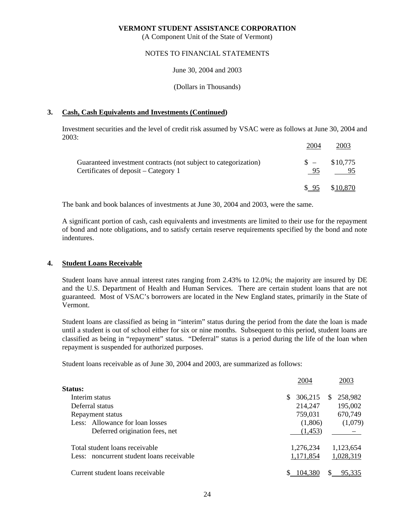(A Component Unit of the State of Vermont)

### NOTES TO FINANCIAL STATEMENTS

June 30, 2004 and 2003

(Dollars in Thousands)

## **3. Cash, Cash Equivalents and Investments (Continued)**

 Investment securities and the level of credit risk assumed by VSAC were as follows at June 30, 2004 and 2003:

|                                                                                                         | 2004        | 2003     |
|---------------------------------------------------------------------------------------------------------|-------------|----------|
| Guaranteed investment contracts (not subject to categorization)<br>Certificates of deposit – Category 1 | $S =$<br>95 | \$10,775 |
|                                                                                                         | $$^{95}$    | \$10,870 |

The bank and book balances of investments at June 30, 2004 and 2003, were the same.

 A significant portion of cash, cash equivalents and investments are limited to their use for the repayment of bond and note obligations, and to satisfy certain reserve requirements specified by the bond and note indentures.

## **4. Student Loans Receivable**

 Student loans have annual interest rates ranging from 2.43% to 12.0%; the majority are insured by DE and the U.S. Department of Health and Human Services. There are certain student loans that are not guaranteed. Most of VSAC's borrowers are located in the New England states, primarily in the State of Vermont.

 Student loans are classified as being in "interim" status during the period from the date the loan is made until a student is out of school either for six or nine months. Subsequent to this period, student loans are classified as being in "repayment" status. "Deferral" status is a period during the life of the loan when repayment is suspended for authorized purposes.

Student loans receivable as of June 30, 2004 and 2003, are summarized as follows:

|                                           | 2004         | 2003                |
|-------------------------------------------|--------------|---------------------|
| Status:                                   |              |                     |
| Interim status                            | 306,215<br>S | 258,982<br><b>S</b> |
| Deferral status                           | 214,247      | 195,002             |
| Repayment status                          | 759,031      | 670,749             |
| Less: Allowance for loan losses           | (1,806)      | (1,079)             |
| Deferred origination fees, net            | (1,453)      |                     |
| Total student loans receivable            | 1,276,234    | 1,123,654           |
| Less: noncurrent student loans receivable | 1,171,854    | 1,028,319           |
| Current student loans receivable          | 104,380      | 95.335              |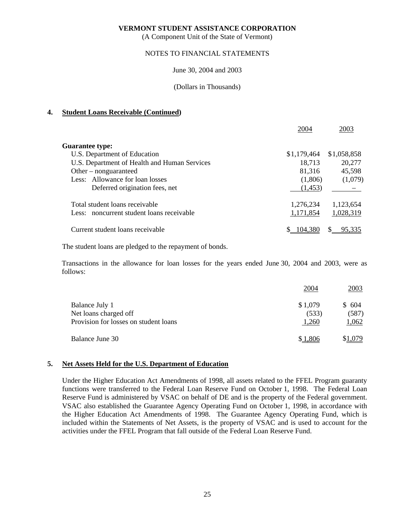(A Component Unit of the State of Vermont)

## NOTES TO FINANCIAL STATEMENTS

June 30, 2004 and 2003

(Dollars in Thousands)

## **4. Student Loans Receivable (Continued)**

|                                              | 2004        | 2003        |
|----------------------------------------------|-------------|-------------|
| <b>Guarantee type:</b>                       |             |             |
| U.S. Department of Education                 | \$1,179,464 | \$1,058,858 |
| U.S. Department of Health and Human Services | 18,713      | 20,277      |
| Other – nonguaranteed                        | 81,316      | 45,598      |
| Less: Allowance for loan losses              | (1,806)     | (1,079)     |
| Deferred origination fees, net               | (1,453)     |             |
| Total student loans receivable               | 1,276,234   | 1,123,654   |
| Less: noncurrent student loans receivable    | 1,171,854   | 1,028,319   |
| Current student loans receivable             | 104,38C     |             |

The student loans are pledged to the repayment of bonds.

 Transactions in the allowance for loan losses for the years ended June 30, 2004 and 2003, were as follows:

|                                       | 2004    | 2003    |
|---------------------------------------|---------|---------|
| Balance July 1                        | \$1,079 | \$ 604  |
| Net loans charged off                 | (533)   | (587)   |
| Provision for losses on student loans | 1,260   | 1,062   |
| Balance June 30                       | \$1,806 | \$1,079 |

## **5. Net Assets Held for the U.S. Department of Education**

 Under the Higher Education Act Amendments of 1998, all assets related to the FFEL Program guaranty functions were transferred to the Federal Loan Reserve Fund on October 1, 1998. The Federal Loan Reserve Fund is administered by VSAC on behalf of DE and is the property of the Federal government. VSAC also established the Guarantee Agency Operating Fund on October 1, 1998, in accordance with the Higher Education Act Amendments of 1998. The Guarantee Agency Operating Fund, which is included within the Statements of Net Assets, is the property of VSAC and is used to account for the activities under the FFEL Program that fall outside of the Federal Loan Reserve Fund.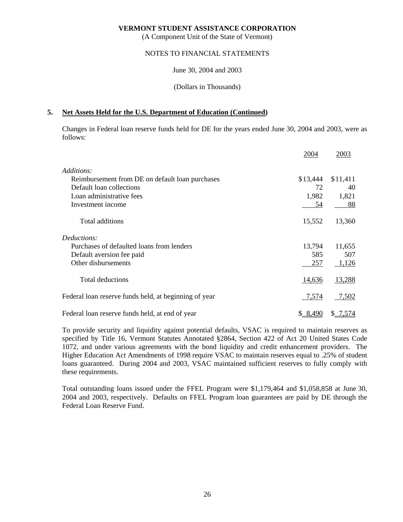(A Component Unit of the State of Vermont)

### NOTES TO FINANCIAL STATEMENTS

June 30, 2004 and 2003

(Dollars in Thousands)

## **5. Net Assets Held for the U.S. Department of Education (Continued)**

 Changes in Federal loan reserve funds held for DE for the years ended June 30, 2004 and 2003, were as follows:

|                                                       | 2004          | 2003          |
|-------------------------------------------------------|---------------|---------------|
| Additions:                                            |               |               |
| Reimbursement from DE on default loan purchases       | \$13,444      | \$11,411      |
| Default loan collections                              | 72            | 40            |
| Loan administrative fees                              | 1,982         | 1,821         |
| Investment income                                     | 54            | 88            |
| Total additions                                       | 15,552        | 13,360        |
| Deductions:                                           |               |               |
| Purchases of defaulted loans from lenders             | 13,794        | 11,655        |
| Default aversion fee paid                             | 585           | 507           |
| Other disbursements                                   | 257           | 1,126         |
| <b>Total deductions</b>                               | <u>14,636</u> | <u>13,288</u> |
| Federal loan reserve funds held, at beginning of year | 7,574         | 7,502         |
| Federal loan reserve funds held, at end of year       | \$8,490       | \$ 7,574      |

 To provide security and liquidity against potential defaults, VSAC is required to maintain reserves as specified by Title 16, Vermont Statutes Annotated §2864, Section 422 of Act 20 United States Code 1072, and under various agreements with the bond liquidity and credit enhancement providers. The Higher Education Act Amendments of 1998 require VSAC to maintain reserves equal to .25% of student loans guaranteed. During 2004 and 2003, VSAC maintained sufficient reserves to fully comply with these requirements.

 Total outstanding loans issued under the FFEL Program were \$1,179,464 and \$1,058,858 at June 30, 2004 and 2003, respectively. Defaults on FFEL Program loan guarantees are paid by DE through the Federal Loan Reserve Fund.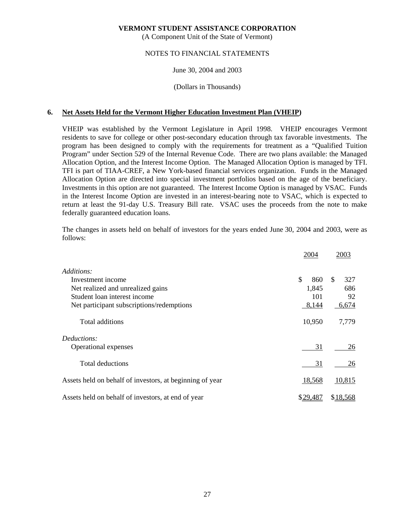(A Component Unit of the State of Vermont)

### NOTES TO FINANCIAL STATEMENTS

## June 30, 2004 and 2003

## (Dollars in Thousands)

## **6. Net Assets Held for the Vermont Higher Education Investment Plan (VHEIP)**

 VHEIP was established by the Vermont Legislature in April 1998. VHEIP encourages Vermont residents to save for college or other post-secondary education through tax favorable investments. The program has been designed to comply with the requirements for treatment as a "Qualified Tuition Program" under Section 529 of the Internal Revenue Code. There are two plans available: the Managed Allocation Option, and the Interest Income Option. The Managed Allocation Option is managed by TFI. TFI is part of TIAA-CREF, a New York-based financial services organization. Funds in the Managed Allocation Option are directed into special investment portfolios based on the age of the beneficiary. Investments in this option are not guaranteed. The Interest Income Option is managed by VSAC. Funds in the Interest Income Option are invested in an interest-bearing note to VSAC, which is expected to return at least the 91-day U.S. Treasury Bill rate. VSAC uses the proceeds from the note to make federally guaranteed education loans.

 The changes in assets held on behalf of investors for the years ended June 30, 2004 and 2003, were as follows:

|                                                          | 2004      | 2003       |
|----------------------------------------------------------|-----------|------------|
| Additions:                                               |           |            |
| Investment income                                        | \$<br>860 | 327<br>\$. |
| Net realized and unrealized gains                        | 1,845     | 686        |
| Student loan interest income                             | 101       | 92         |
| Net participant subscriptions/redemptions                | 8,144     | 6,674      |
| Total additions                                          | 10,950    | 7,779      |
| Deductions:                                              |           |            |
| Operational expenses                                     | 31        | 26         |
| Total deductions                                         | 31        | 26         |
| Assets held on behalf of investors, at beginning of year | 18,568    | 10,815     |
| Assets held on behalf of investors, at end of year       | \$29,487  | \$18,568   |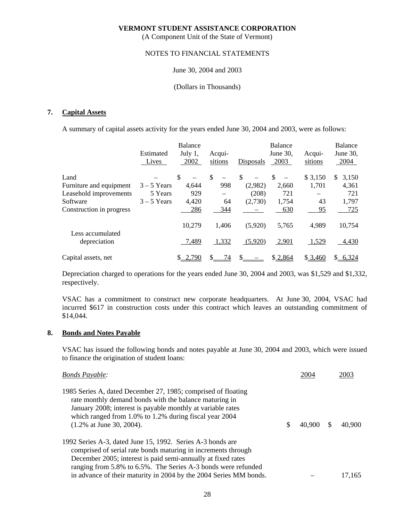(A Component Unit of the State of Vermont)

### NOTES TO FINANCIAL STATEMENTS

#### June 30, 2004 and 2003

#### (Dollars in Thousands)

## **7. Capital Assets**

A summary of capital assets activity for the years ended June 30, 2004 and 2003, were as follows:

|                          | Estimated<br>Lives | Balance<br>July 1,<br>2002 | Acqui-<br>sitions              | Disposals | Balance<br>June $30$ ,<br>2003 | Acqui-<br>sitions | Balance<br>June 30,<br>2004 |
|--------------------------|--------------------|----------------------------|--------------------------------|-----------|--------------------------------|-------------------|-----------------------------|
| Land                     |                    | \$                         | \$<br>$\overline{\phantom{m}}$ | \$        | \$                             | \$3,150           | 3,150<br>S.                 |
| Furniture and equipment  | $3 - 5$ Years      | 4.644                      | 998                            | (2,982)   | 2,660                          | 1,701             | 4,361                       |
| Leasehold improvements   | 5 Years            | 929                        |                                | (208)     | 721                            |                   | 721                         |
| Software                 | $3 - 5$ Years      | 4,420                      | 64                             | (2,730)   | 1,754                          | 43                | 1,797                       |
| Construction in progress |                    | 286                        | 344                            |           | 630                            | 95                | 725                         |
| Less accumulated         |                    | 10,279                     | 1,406                          | (5,920)   | 5,765                          | 4,989             | 10,754                      |
| depreciation             |                    | 7,489                      | 1,332                          | (5,920)   | 2,901                          | 1,529             | 4,430                       |
| Capital assets, net      |                    | 2,790<br>S.                | 74                             | S         | \$2,864                        | \$3,460           | 6,324<br>S.                 |

 Depreciation charged to operations for the years ended June 30, 2004 and 2003, was \$1,529 and \$1,332, respectively.

 VSAC has a commitment to construct new corporate headquarters. At June 30, 2004, VSAC had incurred \$617 in construction costs under this contract which leaves an outstanding commitment of \$14,044.

#### **8. Bonds and Notes Payable**

 VSAC has issued the following bonds and notes payable at June 30, 2004 and 2003, which were issued to finance the origination of student loans:

| <b>Bonds Payable:</b>                                                                                                                                                                                                                                                                    | 2004   | 2003   |
|------------------------------------------------------------------------------------------------------------------------------------------------------------------------------------------------------------------------------------------------------------------------------------------|--------|--------|
| 1985 Series A, dated December 27, 1985; comprised of floating<br>rate monthly demand bonds with the balance maturing in<br>January 2008; interest is payable monthly at variable rates<br>which ranged from 1.0% to 1.2% during fiscal year 2004<br>$(1.2\% \text{ at June } 30, 2004).$ | 40,900 | 40,900 |
| 1992 Series A-3, dated June 15, 1992. Series A-3 bonds are<br>comprised of serial rate bonds maturing in increments through                                                                                                                                                              |        |        |
| December 2005; interest is paid semi-annually at fixed rates<br>ranging from 5.8% to 6.5%. The Series A-3 bonds were refunded                                                                                                                                                            |        |        |
| in advance of their maturity in 2004 by the 2004 Series MM bonds.                                                                                                                                                                                                                        |        | 17,165 |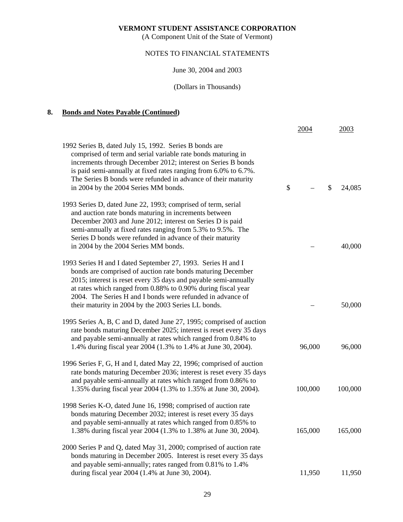(A Component Unit of the State of Vermont)

## NOTES TO FINANCIAL STATEMENTS

June 30, 2004 and 2003

(Dollars in Thousands)

## **8. Bonds and Notes Payable (Continued)**

|                                                                                                                                                                                                                                                                                                                                                                                     | 2004    | 2003         |
|-------------------------------------------------------------------------------------------------------------------------------------------------------------------------------------------------------------------------------------------------------------------------------------------------------------------------------------------------------------------------------------|---------|--------------|
| 1992 Series B, dated July 15, 1992. Series B bonds are<br>comprised of term and serial variable rate bonds maturing in<br>increments through December 2012; interest on Series B bonds<br>is paid semi-annually at fixed rates ranging from 6.0% to 6.7%.<br>The Series B bonds were refunded in advance of their maturity<br>in 2004 by the 2004 Series MM bonds.                  | \$      | \$<br>24,085 |
| 1993 Series D, dated June 22, 1993; comprised of term, serial<br>and auction rate bonds maturing in increments between<br>December 2003 and June 2012; interest on Series D is paid<br>semi-annually at fixed rates ranging from 5.3% to 9.5%. The<br>Series D bonds were refunded in advance of their maturity<br>in 2004 by the 2004 Series MM bonds.                             |         | 40,000       |
| 1993 Series H and I dated September 27, 1993. Series H and I<br>bonds are comprised of auction rate bonds maturing December<br>2015; interest is reset every 35 days and payable semi-annually<br>at rates which ranged from 0.88% to 0.90% during fiscal year<br>2004. The Series H and I bonds were refunded in advance of<br>their maturity in 2004 by the 2003 Series LL bonds. |         | 50,000       |
| 1995 Series A, B, C and D, dated June 27, 1995; comprised of auction<br>rate bonds maturing December 2025; interest is reset every 35 days<br>and payable semi-annually at rates which ranged from 0.84% to<br>1.4% during fiscal year 2004 (1.3% to 1.4% at June 30, 2004).                                                                                                        | 96,000  | 96,000       |
| 1996 Series F, G, H and I, dated May 22, 1996; comprised of auction<br>rate bonds maturing December 2036; interest is reset every 35 days<br>and payable semi-annually at rates which ranged from 0.86% to<br>1.35% during fiscal year 2004 (1.3% to 1.35% at June 30, 2004).                                                                                                       | 100,000 | 100,000      |
| 1998 Series K-O, dated June 16, 1998; comprised of auction rate<br>bonds maturing December 2032; interest is reset every 35 days<br>and payable semi-annually at rates which ranged from 0.85% to<br>1.38% during fiscal year 2004 (1.3% to 1.38% at June 30, 2004).                                                                                                                | 165,000 | 165,000      |
| 2000 Series P and Q, dated May 31, 2000; comprised of auction rate<br>bonds maturing in December 2005. Interest is reset every 35 days<br>and payable semi-annually; rates ranged from 0.81% to 1.4%<br>during fiscal year 2004 (1.4% at June 30, 2004).                                                                                                                            | 11,950  | 11,950       |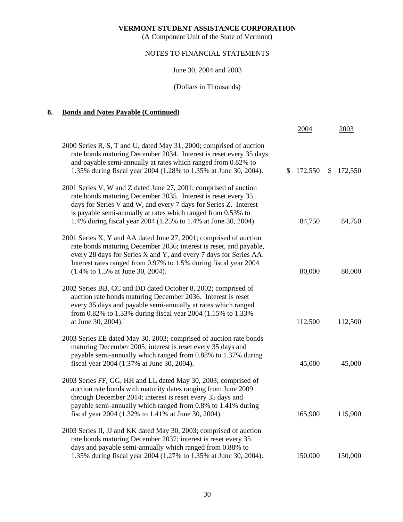(A Component Unit of the State of Vermont)

## NOTES TO FINANCIAL STATEMENTS

June 30, 2004 and 2003

(Dollars in Thousands)

## **8. Bonds and Notes Payable (Continued)**

|                                                                                                                                                                                                                                                                                                                                         | 2004          | 2003                    |
|-----------------------------------------------------------------------------------------------------------------------------------------------------------------------------------------------------------------------------------------------------------------------------------------------------------------------------------------|---------------|-------------------------|
| 2000 Series R, S, T and U, dated May 31, 2000; comprised of auction<br>rate bonds maturing December 2034. Interest is reset every 35 days<br>and payable semi-annually at rates which ranged from 0.82% to<br>1.35% during fiscal year 2004 (1.28% to 1.35% at June 30, 2004).                                                          | 172,550<br>S. | $\mathbb{S}$<br>172,550 |
| 2001 Series V, W and Z dated June 27, 2001; comprised of auction<br>rate bonds maturing December 2035. Interest is reset every 35<br>days for Series V and W, and every 7 days for Series Z. Interest<br>is payable semi-annually at rates which ranged from 0.53% to<br>1.4% during fiscal year 2004 (1.25% to 1.4% at June 30, 2004). | 84,750        | 84,750                  |
| 2001 Series X, Y and AA dated June 27, 2001; comprised of auction<br>rate bonds maturing December 2036; interest is reset, and payable,<br>every 28 days for Series X and Y, and every 7 days for Series AA.<br>Interest rates ranged from 0.97% to 1.5% during fiscal year 2004<br>(1.4% to 1.5% at June 30, 2004).                    | 80,000        | 80,000                  |
| 2002 Series BB, CC and DD dated October 8, 2002; comprised of<br>auction rate bonds maturing December 2036. Interest is reset<br>every 35 days and payable semi-annually at rates which ranged<br>from 0.82% to 1.33% during fiscal year 2004 (1.15% to 1.33%<br>at June 30, 2004).                                                     | 112,500       | 112,500                 |
| 2003 Series EE dated May 30, 2003; comprised of auction rate bonds<br>maturing December 2005; interest is reset every 35 days and<br>payable semi-annually which ranged from 0.88% to 1.37% during<br>fiscal year 2004 (1.37% at June 30, 2004).                                                                                        | 45,000        | 45,000                  |
| 2003 Series FF, GG, HH and LL dated May 30, 2003; comprised of<br>auction rate bonds with maturity dates ranging from June 2009<br>through December 2014; interest is reset every 35 days and<br>payable semi-annually which ranged from 0.8% to 1.41% during<br>fiscal year 2004 (1.32% to 1.41% at June 30, 2004).                    | 165,900       | 115,900                 |
| 2003 Series II, JJ and KK dated May 30, 2003; comprised of auction<br>rate bonds maturing December 2037; interest is reset every 35<br>days and payable semi-annually which ranged from 0.88% to<br>1.35% during fiscal year 2004 (1.27% to 1.35% at June 30, 2004).                                                                    | 150,000       | 150,000                 |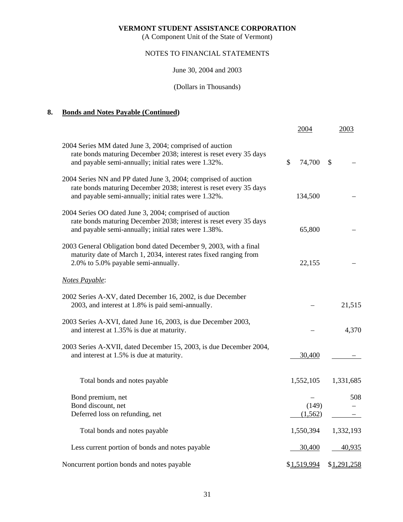(A Component Unit of the State of Vermont)

## NOTES TO FINANCIAL STATEMENTS

June 30, 2004 and 2003

## (Dollars in Thousands)

## **8. Bonds and Notes Payable (Continued)**

|                                                                                                                                                                                              | 2004         | 2003          |
|----------------------------------------------------------------------------------------------------------------------------------------------------------------------------------------------|--------------|---------------|
| 2004 Series MM dated June 3, 2004; comprised of auction<br>rate bonds maturing December 2038; interest is reset every 35 days<br>and payable semi-annually; initial rates were 1.32%.        | 74,700<br>\$ | $\mathcal{S}$ |
| 2004 Series NN and PP dated June 3, 2004; comprised of auction<br>rate bonds maturing December 2038; interest is reset every 35 days<br>and payable semi-annually; initial rates were 1.32%. | 134,500      |               |
| 2004 Series OO dated June 3, 2004; comprised of auction<br>rate bonds maturing December 2038; interest is reset every 35 days<br>and payable semi-annually; initial rates were 1.38%.        | 65,800       |               |
| 2003 General Obligation bond dated December 9, 2003, with a final<br>maturity date of March 1, 2034, interest rates fixed ranging from<br>2.0% to 5.0% payable semi-annually.                | 22,155       |               |
| Notes Payable:                                                                                                                                                                               |              |               |
| 2002 Series A-XV, dated December 16, 2002, is due December<br>2003, and interest at 1.8% is paid semi-annually.                                                                              |              | 21,515        |
| 2003 Series A-XVI, dated June 16, 2003, is due December 2003,<br>and interest at 1.35% is due at maturity.                                                                                   |              | 4,370         |
| 2003 Series A-XVII, dated December 15, 2003, is due December 2004,<br>and interest at 1.5% is due at maturity.                                                                               | 30,400       |               |
| Total bonds and notes payable                                                                                                                                                                | 1,552,105    | 1,331,685     |
| Bond premium, net                                                                                                                                                                            |              | 508           |
| Bond discount, net                                                                                                                                                                           | (149)        |               |
| Deferred loss on refunding, net                                                                                                                                                              | (1, 562)     |               |
| Total bonds and notes payable                                                                                                                                                                | 1,550,394    | 1,332,193     |
| Less current portion of bonds and notes payable                                                                                                                                              | 30,400       | 40,935        |
| Noncurrent portion bonds and notes payable                                                                                                                                                   | \$1,519,994  | \$1,291,258   |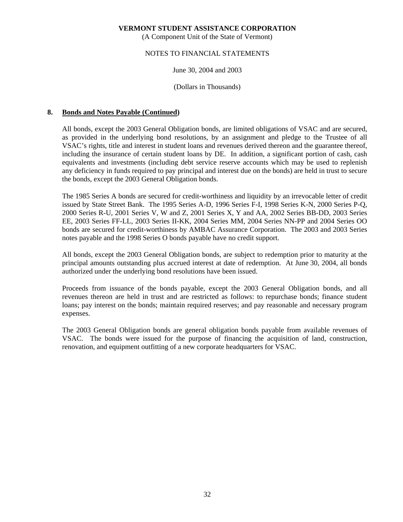(A Component Unit of the State of Vermont)

### NOTES TO FINANCIAL STATEMENTS

June 30, 2004 and 2003

(Dollars in Thousands)

## **8. Bonds and Notes Payable (Continued)**

 All bonds, except the 2003 General Obligation bonds, are limited obligations of VSAC and are secured, as provided in the underlying bond resolutions, by an assignment and pledge to the Trustee of all VSAC's rights, title and interest in student loans and revenues derived thereon and the guarantee thereof, including the insurance of certain student loans by DE. In addition, a significant portion of cash, cash equivalents and investments (including debt service reserve accounts which may be used to replenish any deficiency in funds required to pay principal and interest due on the bonds) are held in trust to secure the bonds, except the 2003 General Obligation bonds.

 The 1985 Series A bonds are secured for credit-worthiness and liquidity by an irrevocable letter of credit issued by State Street Bank. The 1995 Series A-D, 1996 Series F-I, 1998 Series K-N, 2000 Series P-Q, 2000 Series R-U, 2001 Series V, W and Z, 2001 Series X, Y and AA, 2002 Series BB-DD, 2003 Series EE, 2003 Series FF-LL, 2003 Series II-KK, 2004 Series MM, 2004 Series NN-PP and 2004 Series OO bonds are secured for credit-worthiness by AMBAC Assurance Corporation. The 2003 and 2003 Series notes payable and the 1998 Series O bonds payable have no credit support.

 All bonds, except the 2003 General Obligation bonds, are subject to redemption prior to maturity at the principal amounts outstanding plus accrued interest at date of redemption. At June 30, 2004, all bonds authorized under the underlying bond resolutions have been issued.

 Proceeds from issuance of the bonds payable, except the 2003 General Obligation bonds, and all revenues thereon are held in trust and are restricted as follows: to repurchase bonds; finance student loans; pay interest on the bonds; maintain required reserves; and pay reasonable and necessary program expenses.

 The 2003 General Obligation bonds are general obligation bonds payable from available revenues of VSAC. The bonds were issued for the purpose of financing the acquisition of land, construction, renovation, and equipment outfitting of a new corporate headquarters for VSAC.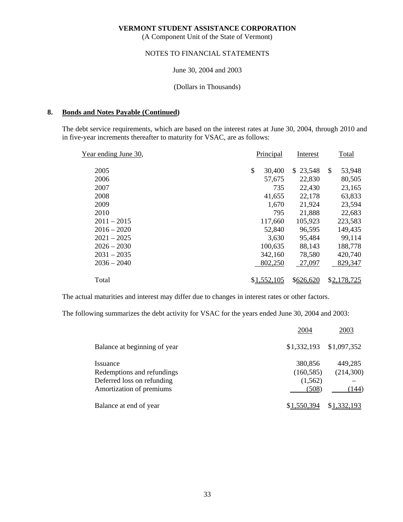(A Component Unit of the State of Vermont)

#### NOTES TO FINANCIAL STATEMENTS

June 30, 2004 and 2003

(Dollars in Thousands)

#### **8. Bonds and Notes Payable (Continued)**

 The debt service requirements, which are based on the interest rates at June 30, 2004, through 2010 and in five-year increments thereafter to maturity for VSAC, are as follows:

| Year ending June 30, | Principal    | Interest  | Total                   |
|----------------------|--------------|-----------|-------------------------|
| 2005                 | \$<br>30,400 | \$23,548  | 53,948<br><sup>\$</sup> |
| 2006                 | 57,675       | 22,830    | 80,505                  |
| 2007                 | 735          | 22,430    | 23,165                  |
| 2008                 | 41,655       | 22,178    | 63,833                  |
| 2009                 | 1,670        | 21,924    | 23,594                  |
| 2010                 | 795          | 21,888    | 22,683                  |
| $2011 - 2015$        | 117,660      | 105,923   | 223,583                 |
| $2016 - 2020$        | 52,840       | 96,595    | 149,435                 |
| $2021 - 2025$        | 3,630        | 95,484    | 99,114                  |
| $2026 - 2030$        | 100,635      | 88,143    | 188,778                 |
| $2031 - 2035$        | 342,160      | 78,580    | 420,740                 |
| $2036 - 2040$        | 802,250      | 27,097    | 829,347                 |
| Total                | \$1,552,105  | \$626,620 | \$2,178,725             |

The actual maturities and interest may differ due to changes in interest rates or other factors.

The following summarizes the debt activity for VSAC for the years ended June 30, 2004 and 2003:

|                              | 2004        | 2003        |
|------------------------------|-------------|-------------|
| Balance at beginning of year | \$1,332,193 | \$1,097,352 |
| <i>Issuance</i>              | 380,856     | 449,285     |
| Redemptions and refundings   | (160, 585)  | (214,300)   |
| Deferred loss on refunding   | (1,562)     |             |
| Amortization of premiums     | (508)       | (144)       |
| Balance at end of year       | \$1,550,394 | \$1,332,193 |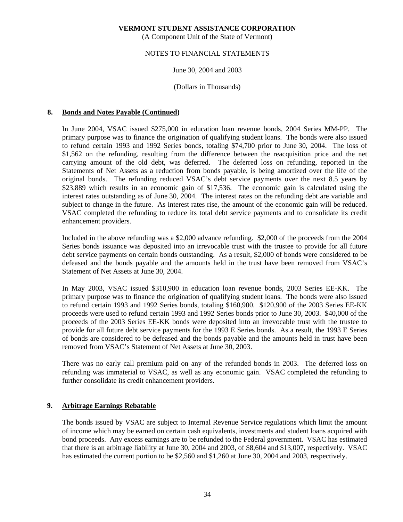(A Component Unit of the State of Vermont)

#### NOTES TO FINANCIAL STATEMENTS

### June 30, 2004 and 2003

(Dollars in Thousands)

## **8. Bonds and Notes Payable (Continued)**

 In June 2004, VSAC issued \$275,000 in education loan revenue bonds, 2004 Series MM-PP. The primary purpose was to finance the origination of qualifying student loans. The bonds were also issued to refund certain 1993 and 1992 Series bonds, totaling \$74,700 prior to June 30, 2004. The loss of \$1,562 on the refunding, resulting from the difference between the reacquisition price and the net carrying amount of the old debt, was deferred. The deferred loss on refunding, reported in the Statements of Net Assets as a reduction from bonds payable, is being amortized over the life of the original bonds. The refunding reduced VSAC's debt service payments over the next 8.5 years by \$23,889 which results in an economic gain of \$17,536. The economic gain is calculated using the interest rates outstanding as of June 30, 2004. The interest rates on the refunding debt are variable and subject to change in the future. As interest rates rise, the amount of the economic gain will be reduced. VSAC completed the refunding to reduce its total debt service payments and to consolidate its credit enhancement providers.

 Included in the above refunding was a \$2,000 advance refunding. \$2,000 of the proceeds from the 2004 Series bonds issuance was deposited into an irrevocable trust with the trustee to provide for all future debt service payments on certain bonds outstanding. As a result, \$2,000 of bonds were considered to be defeased and the bonds payable and the amounts held in the trust have been removed from VSAC's Statement of Net Assets at June 30, 2004.

 In May 2003, VSAC issued \$310,900 in education loan revenue bonds, 2003 Series EE-KK. The primary purpose was to finance the origination of qualifying student loans. The bonds were also issued to refund certain 1993 and 1992 Series bonds, totaling \$160,900. \$120,900 of the 2003 Series EE-KK proceeds were used to refund certain 1993 and 1992 Series bonds prior to June 30, 2003. \$40,000 of the proceeds of the 2003 Series EE-KK bonds were deposited into an irrevocable trust with the trustee to provide for all future debt service payments for the 1993 E Series bonds. As a result, the 1993 E Series of bonds are considered to be defeased and the bonds payable and the amounts held in trust have been removed from VSAC's Statement of Net Assets at June 30, 2003.

 There was no early call premium paid on any of the refunded bonds in 2003. The deferred loss on refunding was immaterial to VSAC, as well as any economic gain. VSAC completed the refunding to further consolidate its credit enhancement providers.

## **9. Arbitrage Earnings Rebatable**

 The bonds issued by VSAC are subject to Internal Revenue Service regulations which limit the amount of income which may be earned on certain cash equivalents, investments and student loans acquired with bond proceeds. Any excess earnings are to be refunded to the Federal government. VSAC has estimated that there is an arbitrage liability at June 30, 2004 and 2003, of \$8,604 and \$13,007, respectively. VSAC has estimated the current portion to be \$2,560 and \$1,260 at June 30, 2004 and 2003, respectively.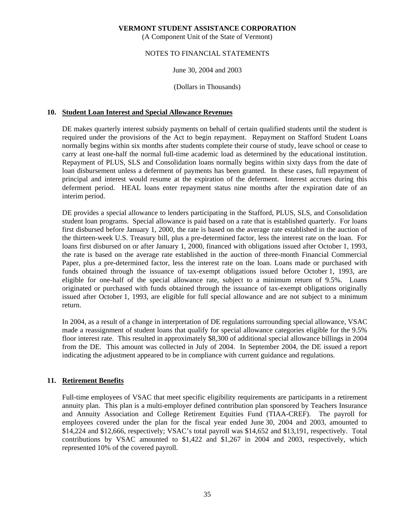(A Component Unit of the State of Vermont)

## NOTES TO FINANCIAL STATEMENTS

June 30, 2004 and 2003

(Dollars in Thousands)

## **10. Student Loan Interest and Special Allowance Revenues**

 DE makes quarterly interest subsidy payments on behalf of certain qualified students until the student is required under the provisions of the Act to begin repayment. Repayment on Stafford Student Loans normally begins within six months after students complete their course of study, leave school or cease to carry at least one-half the normal full-time academic load as determined by the educational institution. Repayment of PLUS, SLS and Consolidation loans normally begins within sixty days from the date of loan disbursement unless a deferment of payments has been granted. In these cases, full repayment of principal and interest would resume at the expiration of the deferment. Interest accrues during this deferment period. HEAL loans enter repayment status nine months after the expiration date of an interim period.

 DE provides a special allowance to lenders participating in the Stafford, PLUS, SLS, and Consolidation student loan programs. Special allowance is paid based on a rate that is established quarterly. For loans first disbursed before January 1, 2000, the rate is based on the average rate established in the auction of the thirteen-week U.S. Treasury bill, plus a pre-determined factor, less the interest rate on the loan. For loans first disbursed on or after January 1, 2000, financed with obligations issued after October 1, 1993, the rate is based on the average rate established in the auction of three-month Financial Commercial Paper, plus a pre-determined factor, less the interest rate on the loan. Loans made or purchased with funds obtained through the issuance of tax-exempt obligations issued before October 1, 1993, are eligible for one-half of the special allowance rate, subject to a minimum return of 9.5%. Loans originated or purchased with funds obtained through the issuance of tax-exempt obligations originally issued after October 1, 1993, are eligible for full special allowance and are not subject to a minimum return.

 In 2004, as a result of a change in interpretation of DE regulations surrounding special allowance, VSAC made a reassignment of student loans that qualify for special allowance categories eligible for the 9.5% floor interest rate. This resulted in approximately \$8,300 of additional special allowance billings in 2004 from the DE. This amount was collected in July of 2004. In September 2004, the DE issued a report indicating the adjustment appeared to be in compliance with current guidance and regulations.

## **11. Retirement Benefits**

 Full-time employees of VSAC that meet specific eligibility requirements are participants in a retirement annuity plan. This plan is a multi-employer defined contribution plan sponsored by Teachers Insurance and Annuity Association and College Retirement Equities Fund (TIAA-CREF). The payroll for employees covered under the plan for the fiscal year ended June 30, 2004 and 2003, amounted to \$14,224 and \$12,666, respectively; VSAC's total payroll was \$14,652 and \$13,191, respectively. Total contributions by VSAC amounted to \$1,422 and \$1,267 in 2004 and 2003, respectively, which represented 10% of the covered payroll.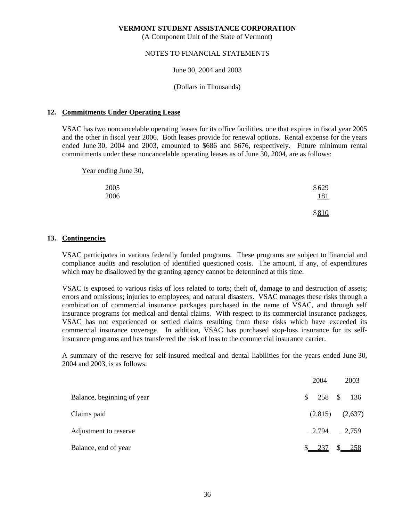(A Component Unit of the State of Vermont)

### NOTES TO FINANCIAL STATEMENTS

June 30, 2004 and 2003

(Dollars in Thousands)

## **12. Commitments Under Operating Lease**

 VSAC has two noncancelable operating leases for its office facilities, one that expires in fiscal year 2005 and the other in fiscal year 2006. Both leases provide for renewal options. Rental expense for the years ended June 30, 2004 and 2003, amounted to \$686 and \$676, respectively. Future minimum rental commitments under these noncancelable operating leases as of June 30, 2004, are as follows:

 Year ending June 30, 2005 \$629 2006 181

 $$810$ 

### **13. Contingencies**

 VSAC participates in various federally funded programs. These programs are subject to financial and compliance audits and resolution of identified questioned costs. The amount, if any, of expenditures which may be disallowed by the granting agency cannot be determined at this time.

 VSAC is exposed to various risks of loss related to torts; theft of, damage to and destruction of assets; errors and omissions; injuries to employees; and natural disasters. VSAC manages these risks through a combination of commercial insurance packages purchased in the name of VSAC, and through self insurance programs for medical and dental claims. With respect to its commercial insurance packages, VSAC has not experienced or settled claims resulting from these risks which have exceeded its commercial insurance coverage. In addition, VSAC has purchased stop-loss insurance for its selfinsurance programs and has transferred the risk of loss to the commercial insurance carrier.

 A summary of the reserve for self-insured medical and dental liabilities for the years ended June 30, 2004 and 2003, is as follows:

|                            |               | 2004       | 2003    |  |
|----------------------------|---------------|------------|---------|--|
| Balance, beginning of year | <sup>\$</sup> | 258 \$ 136 |         |  |
| Claims paid                |               | (2,815)    | (2,637) |  |
| Adjustment to reserve      |               | 2,794      | 2,759   |  |
| Balance, end of year       |               | 237        | -258    |  |